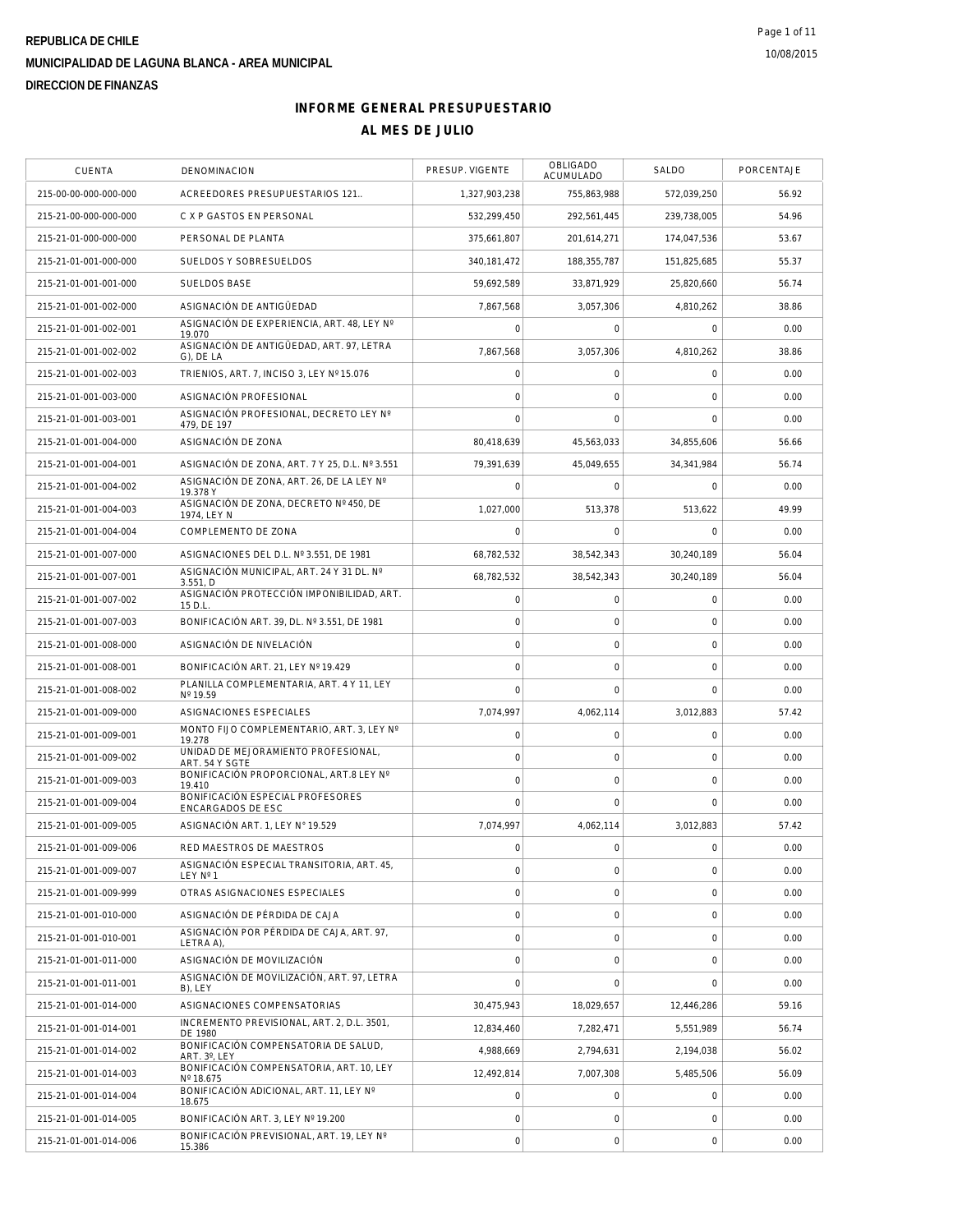| CUENTA                | DENOMINACION                                          | PRESUP. VIGENTE | OBLIGADO<br>ACUMULADO | SALDO               | PORCENTAJE |
|-----------------------|-------------------------------------------------------|-----------------|-----------------------|---------------------|------------|
| 215-00-00-000-000-000 | ACREEDORES PRESUPUESTARIOS 121                        | 1,327,903,238   | 755,863,988           | 572,039,250         | 56.92      |
| 215-21-00-000-000-000 | C X P GASTOS EN PERSONAL                              | 532,299,450     | 292,561,445           | 239,738,005         | 54.96      |
| 215-21-01-000-000-000 | PERSONAL DE PLANTA                                    | 375,661,807     | 201,614,271           | 174,047,536         | 53.67      |
| 215-21-01-001-000-000 | SUELDOS Y SOBRESUELDOS                                | 340, 181, 472   | 188,355,787           | 151,825,685         | 55.37      |
| 215-21-01-001-001-000 | <b>SUELDOS BASE</b>                                   | 59,692,589      | 33,871,929            | 25,820,660          | 56.74      |
| 215-21-01-001-002-000 | ASIGNACIÓN DE ANTIGÜEDAD                              | 7,867,568       | 3,057,306             | 4,810,262           | 38.86      |
| 215-21-01-001-002-001 | ASIGNACIÓN DE EXPERIENCIA, ART. 48, LEY Nº<br>19.070  | $\overline{0}$  | $\mathbf 0$           | $\mathbf 0$         | 0.00       |
| 215-21-01-001-002-002 | ASIGNACIÓN DE ANTIGÜEDAD, ART. 97, LETRA<br>G), DE LA | 7,867,568       | 3,057,306             | 4,810,262           | 38.86      |
| 215-21-01-001-002-003 | TRIENIOS, ART. 7, INCISO 3, LEY Nº 15.076             | 0               | 0                     | $\mathbf 0$         | 0.00       |
| 215-21-01-001-003-000 | ASIGNACIÓN PROFESIONAL                                | 0               | $\mathbf 0$           | $\mathbf 0$         | 0.00       |
| 215-21-01-001-003-001 | ASIGNACIÓN PROFESIONAL, DECRETO LEY Nº<br>479, DE 197 | 0               | $\mathbf 0$           | $\mathbf 0$         | 0.00       |
| 215-21-01-001-004-000 | ASIGNACIÓN DE ZONA                                    | 80,418,639      | 45,563,033            | 34,855,606          | 56.66      |
| 215-21-01-001-004-001 | ASIGNACIÓN DE ZONA, ART. 7 Y 25, D.L. Nº 3.551        | 79,391,639      | 45,049,655            | 34,341,984          | 56.74      |
| 215-21-01-001-004-002 | ASIGNACIÓN DE ZONA, ART. 26, DE LA LEY Nº<br>19.378 Y | $\overline{0}$  | $\mathbf 0$           | $\Omega$            | 0.00       |
| 215-21-01-001-004-003 | ASIGNACIÓN DE ZONA, DECRETO Nº 450, DE<br>1974. LEY N | 1,027,000       | 513,378               | 513,622             | 49.99      |
| 215-21-01-001-004-004 | COMPLEMENTO DE ZONA                                   | 0               | 0                     | $\mathbf 0$         | 0.00       |
| 215-21-01-001-007-000 | ASIGNACIONES DEL D.L. Nº 3.551, DE 1981               | 68,782,532      | 38,542,343            | 30,240,189          | 56.04      |
| 215-21-01-001-007-001 | ASIGNACIÓN MUNICIPAL, ART. 24 Y 31 DL. Nº<br>3.551, D | 68,782,532      | 38,542,343            | 30.240.189          | 56.04      |
| 215-21-01-001-007-002 | ASIGNACIÓN PROTECCIÓN IMPONIBILIDAD, ART.<br>15 D.L   | 0               | $\mathbf 0$           | 0                   | 0.00       |
| 215-21-01-001-007-003 | BONIFICACIÓN ART. 39, DL. Nº 3.551, DE 1981           | 0               | $\mathbf 0$           | $\overline{0}$      | 0.00       |
| 215-21-01-001-008-000 | ASIGNACIÓN DE NIVELACIÓN                              | 0               | $\mathsf{O}\xspace$   | $\mathsf 0$         | 0.00       |
| 215-21-01-001-008-001 | BONIFICACIÓN ART. 21, LEY Nº 19.429                   | 0               | $\mathbf 0$           | $\mathbf 0$         | 0.00       |
| 215-21-01-001-008-002 | PLANILLA COMPLEMENTARIA, ART. 4 Y 11, LEY<br>Nº 19.59 | $\Omega$        | $\mathbf 0$           | $\Omega$            | 0.00       |
| 215-21-01-001-009-000 | ASIGNACIONES ESPECIALES                               | 7,074,997       | 4,062,114             | 3,012,883           | 57.42      |
| 215-21-01-001-009-001 | MONTO FIJO COMPLEMENTARIO, ART. 3, LEY Nº<br>19.278   | 0               | $\mathsf{O}\xspace$   | $\mathsf{O}\xspace$ | 0.00       |
| 215-21-01-001-009-002 | UNIDAD DE MEJORAMIENTO PROFESIONAL,<br>ART. 54 Y SGTE | $\overline{0}$  | $\mathbf 0$           | $\mathbf 0$         | 0.00       |
| 215-21-01-001-009-003 | BONIFICACIÓN PROPORCIONAL, ART.8 LEY Nº<br>19.410     | 0               | $\mathbf 0$           | $\mathbf 0$         | 0.00       |
| 215-21-01-001-009-004 | BONIFICACIÓN ESPECIAL PROFESORES<br>ENCARGADOS DE ESC | 0               | $\mathbf 0$           | $\overline{0}$      | 0.00       |
| 215-21-01-001-009-005 | ASIGNACIÓN ART. 1, LEY Nº 19.529                      | 7,074,997       | 4,062,114             | 3,012,883           | 57.42      |
| 215-21-01-001-009-006 | RED MAESTROS DE MAESTROS                              | $\circ$         | $\mathbf{O}$          | $\mathsf{O}\xspace$ | 0.00       |
| 215-21-01-001-009-007 | ASIGNACIÓN ESPECIAL TRANSITORIA, ART. 45,<br>LEY Nº 1 | 0               | 0                     | 0                   | 0.00       |
| 215-21-01-001-009-999 | OTRAS ASIGNACIONES ESPECIALES                         | 0               | $\mathbf 0$           | 0                   | 0.00       |
| 215-21-01-001-010-000 | ASIGNACIÓN DE PÉRDIDA DE CAJA                         | 0               | 0                     | 0                   | 0.00       |
| 215-21-01-001-010-001 | ASIGNACIÓN POR PÉRDIDA DE CAJA, ART. 97.<br>LETRA A), | 0               | 0                     | 0                   | 0.00       |
| 215-21-01-001-011-000 | ASIGNACIÓN DE MOVILIZACIÓN                            | 0               | 0                     | 0                   | 0.00       |
| 215-21-01-001-011-001 | ASIGNACIÓN DE MOVILIZACIÓN, ART. 97, LETRA<br>B), LEY | $\overline{0}$  | $\mathbf 0$           | 0                   | 0.00       |
| 215-21-01-001-014-000 | ASIGNACIONES COMPENSATORIAS                           | 30.475.943      | 18,029,657            | 12,446,286          | 59.16      |
| 215-21-01-001-014-001 | INCREMENTO PREVISIONAL, ART. 2, D.L. 3501,<br>DE 1980 | 12,834,460      | 7,282,471             | 5.551.989           | 56.74      |
| 215-21-01-001-014-002 | BONIFICACIÓN COMPENSATORIA DE SALUD.<br>ART. 3°, LEY  | 4,988,669       | 2.794.631             | 2,194,038           | 56.02      |
| 215-21-01-001-014-003 | BONIFICACIÓN COMPENSATORIA, ART. 10, LEY<br>Nº 18.675 | 12,492,814      | 7,007,308             | 5,485,506           | 56.09      |
| 215-21-01-001-014-004 | BONIFICACIÓN ADICIONAL, ART. 11, LEY Nº<br>18.675     | $\overline{0}$  | 0                     | $\mathbf 0$         | 0.00       |
| 215-21-01-001-014-005 | BONIFICACIÓN ART. 3, LEY Nº 19.200                    | 0               | $\circ$               | 0                   | 0.00       |
| 215-21-01-001-014-006 | BONIFICACIÓN PREVISIONAL, ART. 19, LEY Nº<br>15.386   | 0               | $\mathsf{O}\xspace$   | $\overline{0}$      | 0.00       |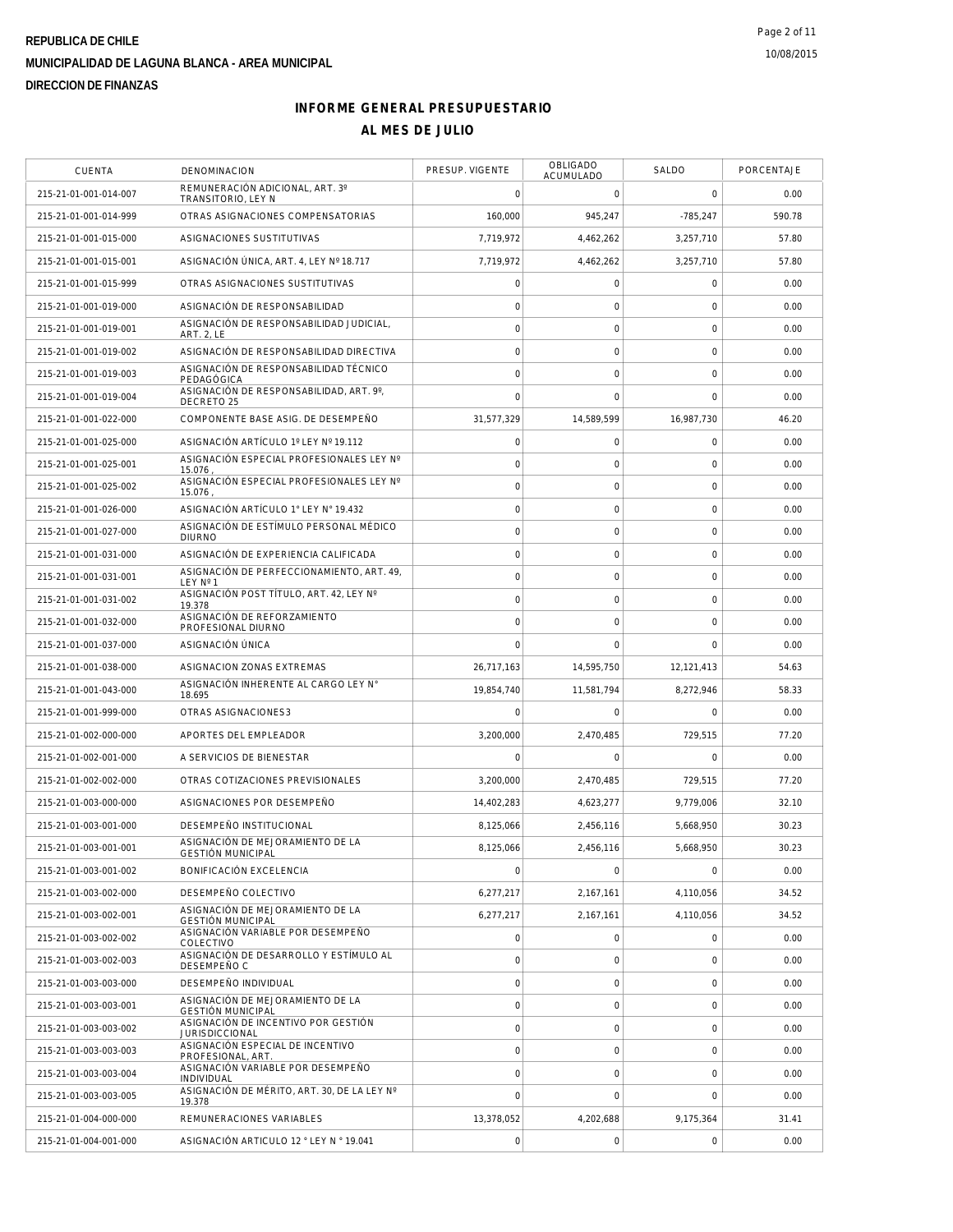| <b>CUENTA</b>         | <b>DENOMINACION</b>                                          | PRESUP. VIGENTE     | OBLIGADO<br>ACUMULADO | SALDO          | PORCENTAJE |
|-----------------------|--------------------------------------------------------------|---------------------|-----------------------|----------------|------------|
| 215-21-01-001-014-007 | REMUNERACIÓN ADICIONAL, ART. 3°<br>TRANSITORIO, LEY N        | $\mathbf 0$         | $\mathbf 0$           | $\mathbf 0$    | 0.00       |
| 215-21-01-001-014-999 | OTRAS ASIGNACIONES COMPENSATORIAS                            | 160,000             | 945,247               | $-785,247$     | 590.78     |
| 215-21-01-001-015-000 | ASIGNACIONES SUSTITUTIVAS                                    | 7,719,972           | 4,462,262             | 3,257,710      | 57.80      |
| 215-21-01-001-015-001 | ASIGNACIÓN ÚNICA, ART. 4, LEY Nº 18.717                      | 7,719,972           | 4,462,262             | 3.257.710      | 57.80      |
| 215-21-01-001-015-999 | OTRAS ASIGNACIONES SUSTITUTIVAS                              | $\mathbf 0$         | $\mathbf 0$           | $\mathbf 0$    | 0.00       |
| 215-21-01-001-019-000 | ASIGNACIÓN DE RESPONSABILIDAD                                | $\overline{0}$      | $\mathbf 0$           | 0              | 0.00       |
| 215-21-01-001-019-001 | ASIGNACIÓN DE RESPONSABILIDAD JUDICIAL,<br><b>ART. 2, LE</b> | $\circ$             | $\mathbf 0$           | $\mathbf 0$    | 0.00       |
| 215-21-01-001-019-002 | ASIGNACIÓN DE RESPONSABILIDAD DIRECTIVA                      | $\mathbf 0$         | $\mathbf 0$           | 0              | 0.00       |
| 215-21-01-001-019-003 | ASIGNACIÓN DE RESPONSABILIDAD TÉCNICO<br>PEDAGÓGICA          | $\circ$             | $\mathsf{O}\xspace$   | $\mathbf 0$    | 0.00       |
| 215-21-01-001-019-004 | ASIGNACIÓN DE RESPONSABILIDAD, ART. 9°,<br>DECRETO 25        | $\mathbf 0$         | $\mathbf 0$           | $\mathbf 0$    | 0.00       |
| 215-21-01-001-022-000 | COMPONENTE BASE ASIG. DE DESEMPEÑO                           | 31,577,329          | 14,589,599            | 16,987,730     | 46.20      |
| 215-21-01-001-025-000 | ASIGNACIÓN ARTÍCULO 1º LEY Nº 19.112                         | $\circ$             | $\mathsf{O}\xspace$   | 0              | 0.00       |
| 215-21-01-001-025-001 | ASIGNACIÓN ESPECIAL PROFESIONALES LEY Nº<br>15.076           | $\mathbf 0$         | $\mathbf 0$           | $\mathbf 0$    | 0.00       |
| 215-21-01-001-025-002 | ASIGNACIÓN ESPECIAL PROFESIONALES LEY Nº<br>15.076           | $\circ$             | $\mathbf 0$           | $\mathbf 0$    | 0.00       |
| 215-21-01-001-026-000 | ASIGNACIÓN ARTÍCULO 1° LEY N° 19.432                         | $\mathbf 0$         | $\mathbf 0$           | 0              | 0.00       |
| 215-21-01-001-027-000 | ASIGNACIÓN DE ESTÍMULO PERSONAL MÉDICO<br><b>DIURNO</b>      | $\mathbf 0$         | $\mathsf{O}\xspace$   | $\mathbf 0$    | 0.00       |
| 215-21-01-001-031-000 | ASIGNACIÓN DE EXPERIENCIA CALIFICADA                         | $\circ$             | $\mathsf O$           | $\mathbf 0$    | 0.00       |
| 215-21-01-001-031-001 | ASIGNACIÓN DE PERFECCIONAMIENTO, ART. 49,<br>LEY Nº 1        | $\circ$             | $\mathbf 0$           | $\mathbf 0$    | 0.00       |
| 215-21-01-001-031-002 | ASIGNACIÓN POST TÍTULO, ART. 42, LEY Nº<br>19.378            | $\circ$             | $\mathbf 0$           | $\mathbf 0$    | 0.00       |
| 215-21-01-001-032-000 | ASIGNACIÓN DE REFORZAMIENTO<br>PROFESIONAL DIURNO            | $\mathbf 0$         | $\mathbf 0$           | $\mathbf 0$    | 0.00       |
| 215-21-01-001-037-000 | ASIGNACIÓN ÚNICA                                             | $\cap$              | $\mathbf 0$           | $\mathbf 0$    | 0.00       |
| 215-21-01-001-038-000 | ASIGNACION ZONAS EXTREMAS                                    | 26,717,163          | 14,595,750            | 12,121,413     | 54.63      |
| 215-21-01-001-043-000 | ASIGNACIÓN INHERENTE AL CARGO LEY N°<br>18.695               | 19,854,740          | 11,581,794            | 8,272,946      | 58.33      |
| 215-21-01-001-999-000 | OTRAS ASIGNACIONES3                                          | $\mathbf 0$         | $\mathbf 0$           | $\Omega$       | 0.00       |
| 215-21-01-002-000-000 | APORTES DEL EMPLEADOR                                        | 3,200,000           | 2,470,485             | 729,515        | 77.20      |
| 215-21-01-002-001-000 | A SERVICIOS DE BIENESTAR                                     | $\mathbf 0$         | $\mathbf 0$           | $\mathbf 0$    | 0.00       |
| 215-21-01-002-002-000 | OTRAS COTIZACIONES PREVISIONALES                             | 3,200,000           | 2,470,485             | 729,515        | 77.20      |
| 215-21-01-003-000-000 | ASIGNACIONES POR DESEMPEÑO                                   | 14.402.283          | 4,623,277             | 9,779,006      | 32.10      |
| 215-21-01-003-001-000 | DESEMPEÑO INSTITUCIONAL                                      | 8,125,066           | 2,456,116             | 5,668,950      | 30.23      |
| 215-21-01-003-001-001 | ASIGNACIÓN DE MEJORAMIENTO DE LA<br><b>GESTIÓN MUNICIPAL</b> | 8,125,066           | 2,456,116             | 5,668,950      | 30.23      |
| 215-21-01-003-001-002 | BONIFICACION EXCELENCIA                                      | $\mathbf 0$         | $\mathsf{O}\xspace$   | $\overline{0}$ | 0.00       |
| 215-21-01-003-002-000 | DESEMPEÑO COLECTIVO                                          | 6,277,217           | 2,167,161             | 4,110,056      | 34.52      |
| 215-21-01-003-002-001 | ASIGNACIÓN DE MEJORAMIENTO DE LA<br><b>GESTIÓN MUNICIPAL</b> | 6,277,217           | 2,167,161             | 4,110,056      | 34.52      |
| 215-21-01-003-002-002 | ASIGNACIÓN VARIABLE POR DESEMPEÑO<br>COLECTIVO               | $\mathbf 0$         | $\mathsf O$           | 0              | 0.00       |
| 215-21-01-003-002-003 | ASIGNACIÓN DE DESARROLLO Y ESTÍMULO AL<br>DESEMPEÑO C        | $\mathbf 0$         | $\mathbf 0$           | 0              | 0.00       |
| 215-21-01-003-003-000 | DESEMPEÑO INDIVIDUAL                                         | $\circ$             | $\mathbf 0$           | $\mathbf 0$    | 0.00       |
| 215-21-01-003-003-001 | ASIGNACIÓN DE MEJORAMIENTO DE LA<br><b>GESTIÓN MUNICIPAL</b> | $\mathbf 0$         | $\mathbf 0$           | $\mathbf 0$    | 0.00       |
| 215-21-01-003-003-002 | ASIGNACIÓN DE INCENTIVO POR GESTIÓN<br><b>JURISDICCIONAL</b> | $\circ$             | $\mathsf{O}\xspace$   | $\mathbf 0$    | 0.00       |
| 215-21-01-003-003-003 | ASIGNACIÓN ESPECIAL DE INCENTIVO<br>PROFESIONAL, ART.        | $\mathbf 0$         | $\mathsf O$           | 0              | 0.00       |
| 215-21-01-003-003-004 | ASIGNACIÓN VARIABLE POR DESEMPEÑO<br>INDIVIDUAL              | $\circ$             | $\mathsf{O}\xspace$   | $\mathbf 0$    | 0.00       |
| 215-21-01-003-003-005 | ASIGNACIÓN DE MÉRITO, ART. 30, DE LA LEY Nº<br>19.378        | $\mathbf 0$         | $\mathbf 0$           | $\mathbf 0$    | 0.00       |
| 215-21-01-004-000-000 | REMUNERACIONES VARIABLES                                     | 13,378,052          | 4,202,688             | 9,175,364      | 31.41      |
| 215-21-01-004-001-000 | ASIGNACIÓN ARTICULO 12 ° LEY N ° 19.041                      | $\mathsf{O}\xspace$ | $\mathsf{O}\xspace$   | $\mathbf 0$    | 0.00       |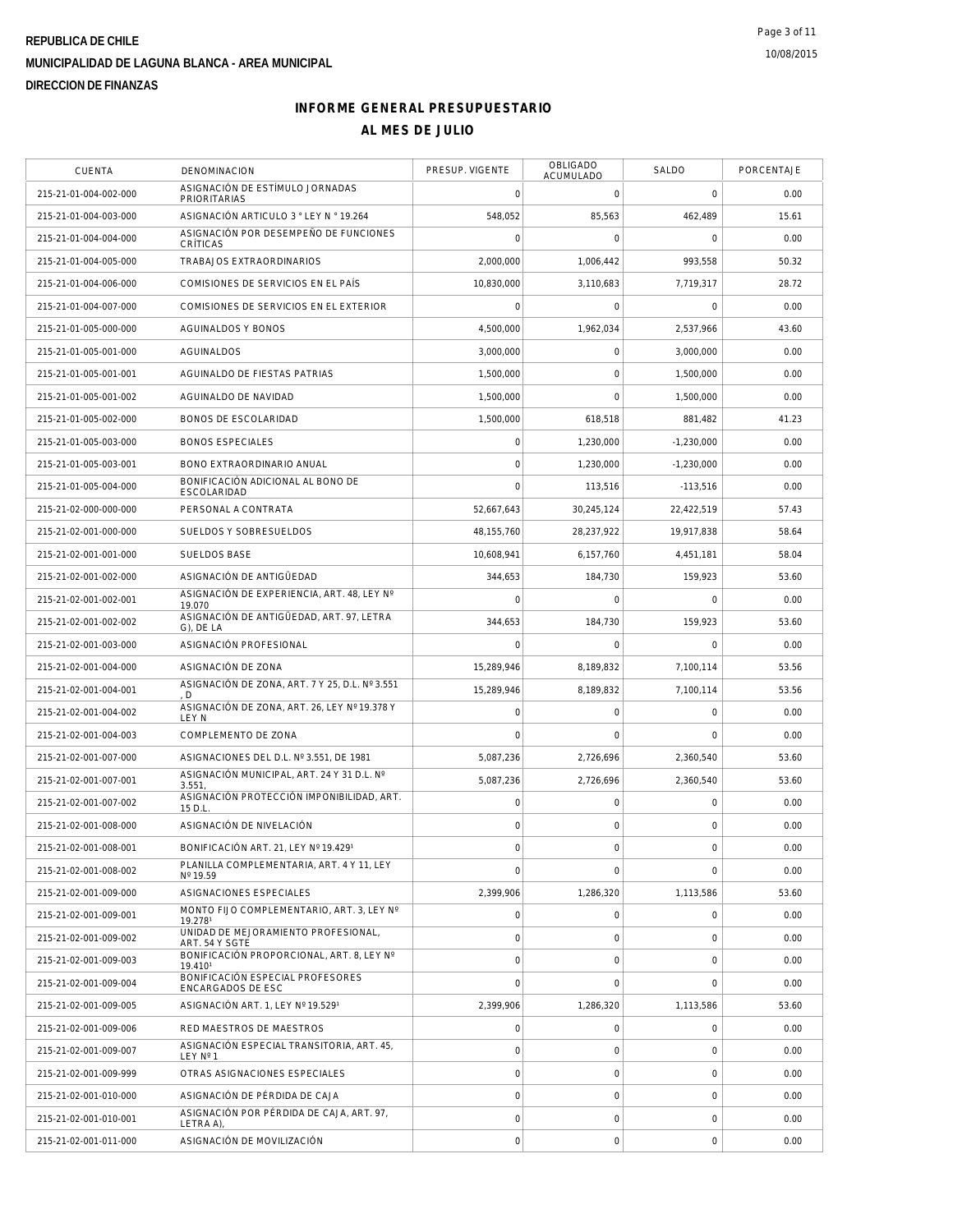| <b>CUENTA</b>         | <b>DENOMINACION</b>                                     | PRESUP. VIGENTE     | OBLIGADO<br>ACUMULADO | SALDO               | PORCENTAJE |
|-----------------------|---------------------------------------------------------|---------------------|-----------------------|---------------------|------------|
| 215-21-01-004-002-000 | ASIGNACIÓN DE ESTÍMULO JORNADAS<br><b>PRIORITARIAS</b>  | $\mathbf 0$         | $\mathbf 0$           | $\mathbf 0$         | 0.00       |
| 215-21-01-004-003-000 | ASIGNACIÓN ARTICULO 3 ° LEY N ° 19.264                  | 548,052             | 85,563                | 462,489             | 15.61      |
| 215-21-01-004-004-000 | ASIGNACIÓN POR DESEMPEÑO DE FUNCIONES<br>CRÍTICAS       | $\mathsf{O}\xspace$ | 0                     | 0                   | 0.00       |
| 215-21-01-004-005-000 | TRABAJOS EXTRAORDINARIOS                                | 2,000,000           | 1,006,442             | 993,558             | 50.32      |
| 215-21-01-004-006-000 | COMISIONES DE SERVICIOS EN EL PAÍS                      | 10,830,000          | 3,110,683             | 7,719,317           | 28.72      |
| 215-21-01-004-007-000 | COMISIONES DE SERVICIOS EN EL EXTERIOR                  | $\mathsf{O}\xspace$ | $\mathbf 0$           | $\mathbf 0$         | 0.00       |
| 215-21-01-005-000-000 | AGUINALDOS Y BONOS                                      | 4,500,000           | 1,962,034             | 2.537.966           | 43.60      |
| 215-21-01-005-001-000 | <b>AGUINALDOS</b>                                       | 3,000,000           | $\mathbf 0$           | 3,000,000           | 0.00       |
| 215-21-01-005-001-001 | AGUINALDO DE FIESTAS PATRIAS                            | 1,500,000           | $\mathbf 0$           | 1,500,000           | 0.00       |
| 215-21-01-005-001-002 | AGUINALDO DE NAVIDAD                                    | 1,500,000           | $\mathbf{0}$          | 1,500,000           | 0.00       |
| 215-21-01-005-002-000 | BONOS DE ESCOLARIDAD                                    | 1,500,000           | 618,518               | 881,482             | 41.23      |
| 215-21-01-005-003-000 | <b>BONOS ESPECIALES</b>                                 | $\mathsf{O}\xspace$ | 1,230,000             | $-1,230,000$        | 0.00       |
| 215-21-01-005-003-001 | BONO EXTRAORDINARIO ANUAL                               | $\mathbf 0$         | 1.230.000             | $-1,230,000$        | 0.00       |
| 215-21-01-005-004-000 | BONIFICACIÓN ADICIONAL AL BONO DE<br><b>ESCOLARIDAD</b> | $\mathbf 0$         | 113,516               | $-113,516$          | 0.00       |
| 215-21-02-000-000-000 | PERSONAL A CONTRATA                                     | 52,667,643          | 30,245,124            | 22.422.519          | 57.43      |
| 215-21-02-001-000-000 | SUELDOS Y SOBRESUELDOS                                  | 48, 155, 760        | 28.237.922            | 19,917,838          | 58.64      |
| 215-21-02-001-001-000 | SUELDOS BASE                                            | 10,608,941          | 6,157,760             | 4,451,181           | 58.04      |
| 215-21-02-001-002-000 | ASIGNACIÓN DE ANTIGÜEDAD                                | 344,653             | 184.730               | 159,923             | 53.60      |
| 215-21-02-001-002-001 | ASIGNACIÓN DE EXPERIENCIA, ART, 48, LEY Nº<br>19.070    | $\mathbf 0$         | $\mathbf 0$           | $\Omega$            | 0.00       |
| 215-21-02-001-002-002 | ASIGNACIÓN DE ANTIGÜEDAD, ART. 97, LETRA<br>G), DE LA   | 344,653             | 184,730               | 159,923             | 53.60      |
| 215-21-02-001-003-000 | ASIGNACIÓN PROFESIONAL                                  | $\mathbf 0$         | 0                     | 0                   | 0.00       |
| 215-21-02-001-004-000 | ASIGNACIÓN DE ZONA                                      | 15,289,946          | 8,189,832             | 7,100,114           | 53.56      |
| 215-21-02-001-004-001 | ASIGNACIÓN DE ZONA, ART. 7 Y 25, D.L. Nº 3.551<br>D.    | 15,289,946          | 8,189,832             | 7,100,114           | 53.56      |
| 215-21-02-001-004-002 | ASIGNACIÓN DE ZONA, ART. 26, LEY Nº 19.378 Y<br>LEY N   | $\mathbf 0$         | $\mathsf{O}\xspace$   | 0                   | 0.00       |
| 215-21-02-001-004-003 | COMPLEMENTO DE ZONA                                     | $\mathbf 0$         | $\mathbf 0$           | $\mathbf 0$         | 0.00       |
| 215-21-02-001-007-000 | ASIGNACIONES DEL D.L. Nº 3.551, DE 1981                 | 5,087,236           | 2,726,696             | 2,360,540           | 53.60      |
| 215-21-02-001-007-001 | ASIGNACIÓN MUNICIPAL, ART. 24 Y 31 D.L. Nº<br>3.551     | 5.087.236           | 2,726,696             | 2,360,540           | 53.60      |
| 215-21-02-001-007-002 | ASIGNACIÓN PROTECCIÓN IMPONIBILIDAD, ART.<br>15 D.L     | $\mathsf{O}\xspace$ | 0                     | $\mathsf{O}\xspace$ | 0.00       |
| 215-21-02-001-008-000 | ASIGNACIÓN DE NIVELACIÓN                                | $\mathbf 0$         | $\mathsf{O}\xspace$   | 0                   | 0.00       |
| 215-21-02-001-008-001 | BONIFICACIÓN ART. 21, LEY Nº 19.4291                    | $\mathsf{O}\xspace$ | 0                     | 0                   | 0.00       |
| 215-21-02-001-008-002 | PLANILLA COMPLEMENTARIA, ART. 4 Y 11, LEY<br>Nº 19.59   | $\overline{0}$      | $\mathsf{O}\xspace$   | $\mathbf 0$         | 0.00       |
| 215-21-02-001-009-000 | ASIGNACIONES ESPECIALES                                 | 2,399,906           | 1,286,320             | 1,113,586           | 53.60      |
| 215-21-02-001-009-001 | MONTO FIJO COMPLEMENTARIO. ART. 3. LEY Nº<br>19.2781    | 0                   | 0                     | 0                   | 0.00       |
| 215-21-02-001-009-002 | UNIDAD DE MEJORAMIENTO PROFESIONAL,<br>ART. 54 Y SGTE   | $\mathsf{O}\xspace$ | 0                     | 0                   | 0.00       |
| 215-21-02-001-009-003 | BONIFICACIÓN PROPORCIONAL, ART. 8, LEY Nº<br>19.4101    | $\mathsf{O}\xspace$ | $\mathsf{O}\xspace$   | 0                   | 0.00       |
| 215-21-02-001-009-004 | BONIFICACIÓN ESPECIAL PROFESORES<br>ENCARGADOS DE ESC   | $\overline{0}$      | $\mathbf 0$           | $\mathbf 0$         | 0.00       |
| 215-21-02-001-009-005 | ASIGNACIÓN ART. 1, LEY Nº 19.5291                       | 2,399,906           | 1,286,320             | 1.113.586           | 53.60      |
| 215-21-02-001-009-006 | RED MAESTROS DE MAESTROS                                | $\mathsf{O}\xspace$ | $\mathsf{O}\xspace$   | 0                   | 0.00       |
| 215-21-02-001-009-007 | ASIGNACIÓN ESPECIAL TRANSITORIA, ART. 45.<br>LEY Nº 1   | $\mathsf{O}\xspace$ | $\mathbf 0$           | 0                   | 0.00       |
| 215-21-02-001-009-999 | OTRAS ASIGNACIONES ESPECIALES                           | $\mathsf{O}\xspace$ | 0                     | 0                   | 0.00       |
| 215-21-02-001-010-000 | ASIGNACIÓN DE PÉRDIDA DE CAJA                           | $\mathbf 0$         | $\mathsf{O}\xspace$   | 0                   | 0.00       |
| 215-21-02-001-010-001 | ASIGNACIÓN POR PÉRDIDA DE CAJA, ART. 97,<br>LETRA A),   | $\mathsf{O}\xspace$ | 0                     | 0                   | 0.00       |
| 215-21-02-001-011-000 | ASIGNACIÓN DE MOVILIZACIÓN                              | $\mathsf{O}\xspace$ | $\mathsf{O}\xspace$   | 0                   | 0.00       |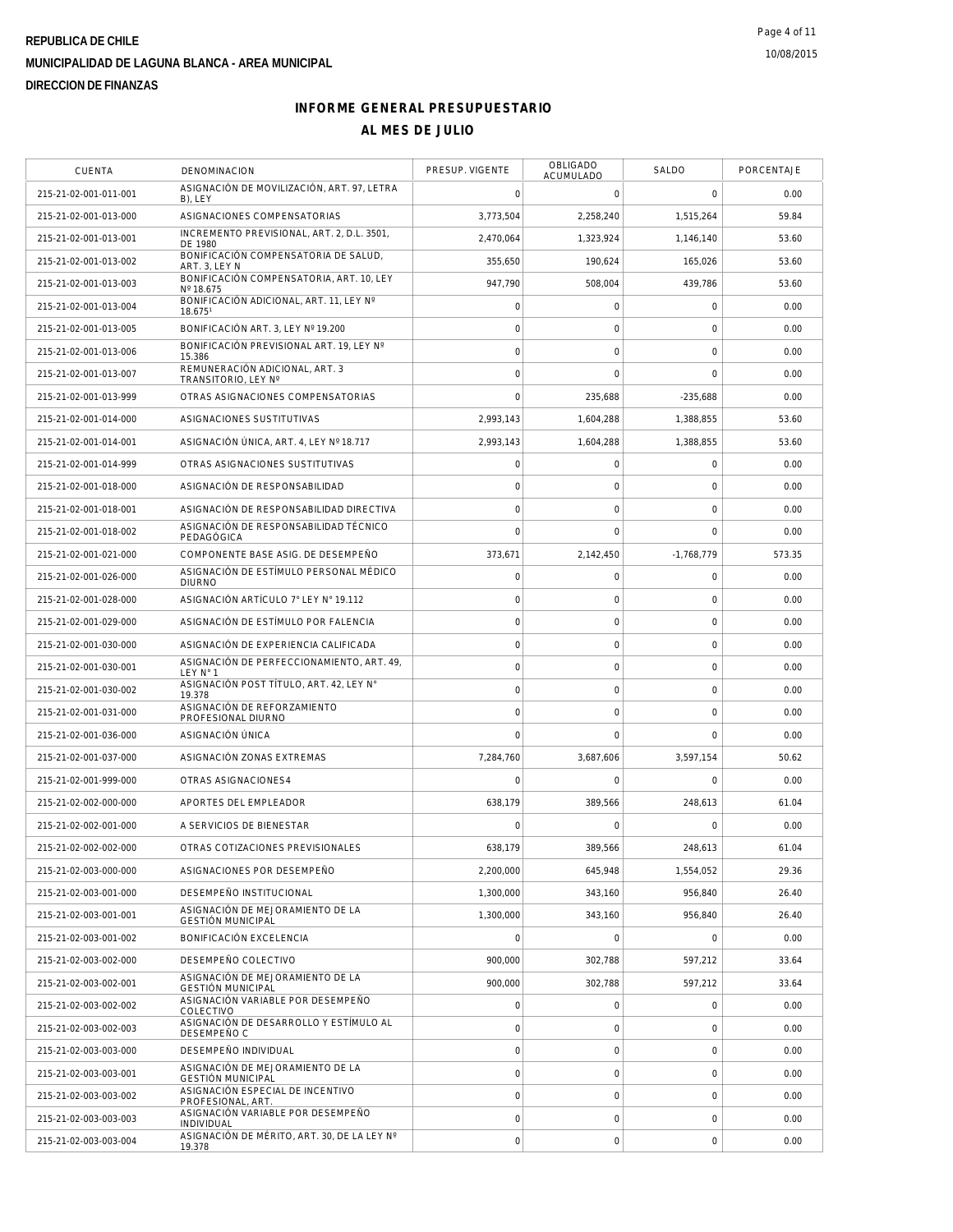| <b>CUENTA</b>         | DENOMINACION                                                 | PRESUP. VIGENTE     | <b>OBLIGADO</b><br>ACUMULADO | SALDO          | PORCENTAJE |
|-----------------------|--------------------------------------------------------------|---------------------|------------------------------|----------------|------------|
| 215-21-02-001-011-001 | ASIGNACIÓN DE MOVILIZACIÓN, ART. 97, LETRA<br>B), LEY        | $\mathbf 0$         | $\mathbf 0$                  | $\mathbf 0$    | 0.00       |
| 215-21-02-001-013-000 | ASIGNACIONES COMPENSATORIAS                                  | 3,773,504           | 2,258,240                    | 1.515.264      | 59.84      |
| 215-21-02-001-013-001 | INCREMENTO PREVISIONAL, ART. 2, D.L. 3501,<br>DE 1980        | 2,470,064           | 1,323,924                    | 1,146,140      | 53.60      |
| 215-21-02-001-013-002 | BONIFICACIÓN COMPENSATORIA DE SALUD,<br>ART. 3. LEY N        | 355,650             | 190,624                      | 165,026        | 53.60      |
| 215-21-02-001-013-003 | BONIFICACIÓN COMPENSATORIA, ART. 10, LEY<br>Nº 18.675        | 947,790             | 508,004                      | 439,786        | 53.60      |
| 215-21-02-001-013-004 | BONIFICACIÓN ADICIONAL, ART. 11, LEY Nº<br>18.6751           | $\mathsf{O}\xspace$ | $\mathsf O$                  | $\mathbf 0$    | 0.00       |
| 215-21-02-001-013-005 | BONIFICACIÓN ART. 3, LEY Nº 19.200                           | $\circ$             | $\mathsf{O}\xspace$          | $\mathbf 0$    | 0.00       |
| 215-21-02-001-013-006 | BONIFICACIÓN PREVISIONAL ART. 19, LEY Nº<br>15.386           | $\mathbf 0$         | $\mathbf 0$                  | $\mathbf 0$    | 0.00       |
| 215-21-02-001-013-007 | REMUNERACIÓN ADICIONAL, ART. 3<br>TRANSITORIO, LEY Nº        | $\circ$             | $\mathbf 0$                  | $\overline{0}$ | 0.00       |
| 215-21-02-001-013-999 | OTRAS ASIGNACIONES COMPENSATORIAS                            | $\bigcap$           | 235,688                      | $-235,688$     | 0.00       |
| 215-21-02-001-014-000 | ASIGNACIONES SUSTITUTIVAS                                    | 2,993,143           | 1,604,288                    | 1,388,855      | 53.60      |
| 215-21-02-001-014-001 | ASIGNACIÓN ÚNICA, ART. 4, LEY Nº 18.717                      | 2,993,143           | 1,604,288                    | 1,388,855      | 53.60      |
| 215-21-02-001-014-999 | OTRAS ASIGNACIONES SUSTITUTIVAS                              | $\mathbf 0$         | 0                            | $\mathbf 0$    | 0.00       |
| 215-21-02-001-018-000 | ASIGNACIÓN DE RESPONSABILIDAD                                | $\circ$             | $\mathbf 0$                  | $\mathbf 0$    | 0.00       |
| 215-21-02-001-018-001 | ASIGNACIÓN DE RESPONSABILIDAD DIRECTIVA                      | $\mathbf 0$         | $\mathsf O$                  | $\mathbf 0$    | 0.00       |
| 215-21-02-001-018-002 | ASIGNACIÓN DE RESPONSABILIDAD TÉCNICO<br>PEDAGÓGICA          | $\mathbf 0$         | $\mathbf 0$                  | $\mathbf 0$    | 0.00       |
| 215-21-02-001-021-000 | COMPONENTE BASE ASIG. DE DESEMPEÑO                           | 373,671             | 2,142,450                    | $-1,768,779$   | 573.35     |
| 215-21-02-001-026-000 | ASIGNACIÓN DE ESTÍMULO PERSONAL MÉDICO<br><b>DIURNO</b>      | $\mathsf{O}\xspace$ | $\mathsf O$                  | $\mathbf 0$    | 0.00       |
| 215-21-02-001-028-000 | ASIGNACIÓN ARTÍCULO 7° LEY N° 19.112                         | $\circ$             | $\mathsf{O}\xspace$          | $\mathbf 0$    | 0.00       |
| 215-21-02-001-029-000 | ASIGNACIÓN DE ESTÍMULO POR FALENCIA                          | $\mathbf 0$         | $\mathbf 0$                  | 0              | 0.00       |
| 215-21-02-001-030-000 | ASIGNACIÓN DE EXPERIENCIA CALIFICADA                         | $\mathsf{O}\xspace$ | $\mathsf{O}\xspace$          | $\mathbf 0$    | 0.00       |
| 215-21-02-001-030-001 | ASIGNACIÓN DE PERFECCIONAMIENTO, ART. 49,<br>LEY N° 1        | $\circ$             | $\mathsf{O}\xspace$          | $\mathbf 0$    | 0.00       |
| 215-21-02-001-030-002 | ASIGNACIÓN POST TÍTULO, ART. 42, LEY N°<br>19.378            | $\mathsf{O}\xspace$ | $\mathbf 0$                  | $\mathbf 0$    | 0.00       |
| 215-21-02-001-031-000 | ASIGNACIÓN DE REFORZAMIENTO<br>PROFESIONAL DIURNO            | $\circ$             | $\mathbf 0$                  | $\mathbf 0$    | 0.00       |
| 215-21-02-001-036-000 | ASIGNACIÓN ÚNICA                                             | $\mathbf 0$         | $\mathbf 0$                  | $\mathbf 0$    | 0.00       |
| 215-21-02-001-037-000 | ASIGNACIÓN ZONAS EXTREMAS                                    | 7,284,760           | 3,687,606                    | 3,597,154      | 50.62      |
| 215-21-02-001-999-000 | OTRAS ASIGNACIONES4                                          | $\mathbf 0$         | $\mathbf 0$                  | $\mathbf 0$    | 0.00       |
| 215-21-02-002-000-000 | APORTES DEL EMPLEADOR                                        | 638,179             | 389,566                      | 248,613        | 61.04      |
| 215-21-02-002-001-000 | A SERVICIOS DE BIENESTAR                                     | $\bigcap$           | $\Omega$                     | $\Omega$       | 0.00       |
| 215-21-02-002-002-000 | OTRAS COTIZACIONES PREVISIONALES                             | 638.179             | 389.566                      | 248,613        | 61.04      |
| 215-21-02-003-000-000 | ASIGNACIONES POR DESEMPEÑO                                   | 2,200,000           | 645,948                      | 1,554,052      | 29.36      |
| 215-21-02-003-001-000 | DESEMPEÑO INSTITUCIONAL                                      | 1,300,000           | 343,160                      | 956,840        | 26.40      |
| 215-21-02-003-001-001 | ASIGNACIÓN DE MEJORAMIENTO DE LA<br><b>GESTIÓN MUNICIPAL</b> | 1,300,000           | 343.160                      | 956.840        | 26.40      |
| 215-21-02-003-001-002 | BONIFICACIÓN EXCELENCIA                                      | $\overline{0}$      | $\mathsf O$                  | $\mathbf 0$    | 0.00       |
| 215-21-02-003-002-000 | DESEMPEÑO COLECTIVO                                          | 900,000             | 302,788                      | 597,212        | 33.64      |
| 215-21-02-003-002-001 | ASIGNACIÓN DE MEJORAMIENTO DE LA<br><b>GESTIÓN MUNICIPAL</b> | 900,000             | 302.788                      | 597,212        | 33.64      |
| 215-21-02-003-002-002 | ASIGNACIÓN VARIABLE POR DESEMPEÑO<br>COLECTIVO               | $\mathsf{O}\xspace$ | 0                            | $\mathbf 0$    | 0.00       |
| 215-21-02-003-002-003 | ASIGNACIÓN DE DESARROLLO Y ESTÍMULO AL<br>DESEMPEÑO C        | $\mathsf{O}\xspace$ | $\mathsf O$                  | $\mathbf 0$    | 0.00       |
| 215-21-02-003-003-000 | DESEMPEÑO INDIVIDUAL                                         | $\circ$             | $\mathsf O$                  | $\mathbf 0$    | 0.00       |
| 215-21-02-003-003-001 | ASIGNACIÓN DE MEJORAMIENTO DE LA<br><b>GESTIÓN MUNICIPAL</b> | $\circ$             | $\mathsf{O}\xspace$          | $\mathbf 0$    | 0.00       |
| 215-21-02-003-003-002 | ASIGNACIÓN ESPECIAL DE INCENTIVO<br>PROFESIONAL, ART.        | $\mathbf 0$         | $\mathbf 0$                  | $\mathbf 0$    | 0.00       |
| 215-21-02-003-003-003 | ASIGNACIÓN VARIABLE POR DESEMPEÑO<br>INDIVIDUAL              | $\mathsf{O}\xspace$ | $\mathsf O$                  | $\mathbf 0$    | 0.00       |
| 215-21-02-003-003-004 | ASIGNACIÓN DE MÉRITO, ART. 30, DE LA LEY Nº<br>19.378        | $\circ$             | $\mathsf{O}\xspace$          | $\mathbf 0$    | 0.00       |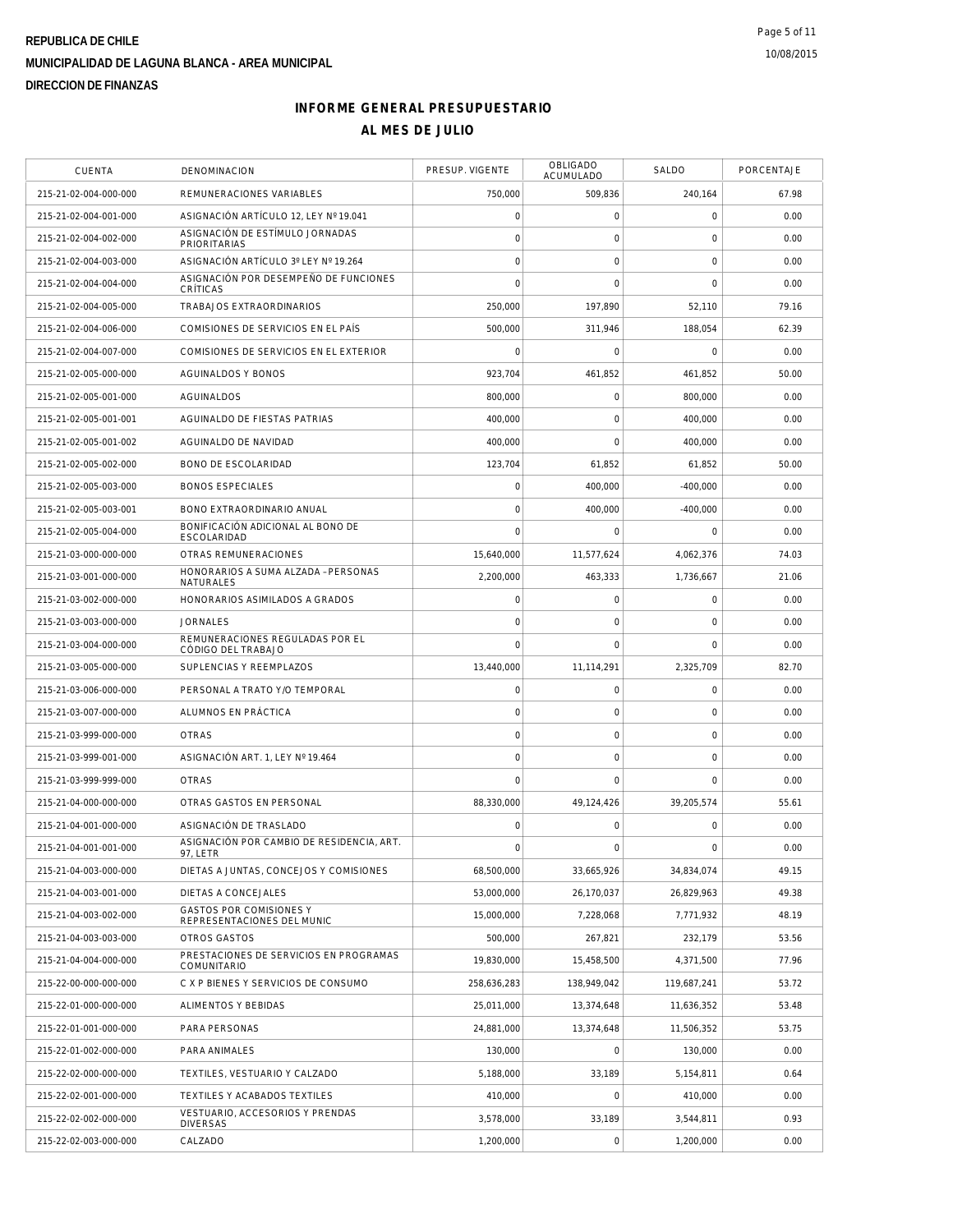| <b>CUENTA</b>         | DENOMINACION                                                 | PRESUP. VIGENTE     | <b>OBLIGADO</b><br><b>ACUMULADO</b> | <b>SALDO</b> | PORCENTAJE |
|-----------------------|--------------------------------------------------------------|---------------------|-------------------------------------|--------------|------------|
| 215-21-02-004-000-000 | REMUNERACIONES VARIABLES                                     | 750,000             | 509,836                             | 240,164      | 67.98      |
| 215-21-02-004-001-000 | ASIGNACIÓN ARTÍCULO 12, LEY Nº 19.041                        | $\mathsf{O}\xspace$ | $\mathsf O$                         | $\mathbf 0$  | 0.00       |
| 215-21-02-004-002-000 | ASIGNACIÓN DE ESTÍMULO JORNADAS<br><b>PRIORITARIAS</b>       | $\circ$             | $\mathbf 0$                         | $\mathbf 0$  | 0.00       |
| 215-21-02-004-003-000 | ASIGNACIÓN ARTÍCULO 3º LEY Nº 19.264                         | $\mathbf 0$         | $\mathbf 0$                         | $\mathbf 0$  | 0.00       |
| 215-21-02-004-004-000 | ASIGNACIÓN POR DESEMPEÑO DE FUNCIONES<br>CRÍTICAS            | $\bigcap$           | $\mathbf 0$                         | $\Omega$     | 0.00       |
| 215-21-02-004-005-000 | TRABAJOS EXTRAORDINARIOS                                     | 250,000             | 197,890                             | 52,110       | 79.16      |
| 215-21-02-004-006-000 | COMISIONES DE SERVICIOS EN EL PAÍS                           | 500,000             | 311,946                             | 188,054      | 62.39      |
| 215-21-02-004-007-000 | COMISIONES DE SERVICIOS EN EL EXTERIOR                       | $\mathbf 0$         | $\mathbf 0$                         | $\mathbf 0$  | 0.00       |
| 215-21-02-005-000-000 | AGUINALDOS Y BONOS                                           | 923,704             | 461,852                             | 461.852      | 50.00      |
| 215-21-02-005-001-000 | AGUINALDOS                                                   | 800,000             | $\mathbf 0$                         | 800,000      | 0.00       |
| 215-21-02-005-001-001 | AGUINALDO DE FIESTAS PATRIAS                                 | 400,000             | $\mathbf 0$                         | 400,000      | 0.00       |
| 215-21-02-005-001-002 | AGUINALDO DE NAVIDAD                                         | 400,000             | $\mathbf 0$                         | 400,000      | 0.00       |
| 215-21-02-005-002-000 | BONO DE ESCOLARIDAD                                          | 123,704             | 61,852                              | 61,852       | 50.00      |
| 215-21-02-005-003-000 | <b>BONOS ESPECIALES</b>                                      | $\mathsf{O}\xspace$ | 400,000                             | $-400,000$   | 0.00       |
| 215-21-02-005-003-001 | BONO EXTRAORDINARIO ANUAL                                    | $\mathbf 0$         | 400,000                             | $-400,000$   | 0.00       |
| 215-21-02-005-004-000 | BONIFICACIÓN ADICIONAL AL BONO DE<br>ESCOLARIDAD             | $\mathbf 0$         | $\mathbf 0$                         | $\mathbf 0$  | 0.00       |
| 215-21-03-000-000-000 | OTRAS REMUNERACIONES                                         | 15,640,000          | 11,577,624                          | 4.062.376    | 74.03      |
| 215-21-03-001-000-000 | HONORARIOS A SUMA ALZADA - PERSONAS<br>NATURALES             | 2,200,000           | 463,333                             | 1,736,667    | 21.06      |
| 215-21-03-002-000-000 | HONORARIOS ASIMILADOS A GRADOS                               | $\mathsf{O}\xspace$ | $\mathbf 0$                         | $\mathbf 0$  | 0.00       |
| 215-21-03-003-000-000 | <b>JORNALES</b>                                              | $\mathbf 0$         | $\mathbf 0$                         | $\mathbf 0$  | 0.00       |
| 215-21-03-004-000-000 | REMUNERACIONES REGULADAS POR EL<br>CÓDIGO DEL TRABAJO        | $\mathbf 0$         | $\mathbf 0$                         | $\mathbf 0$  | 0.00       |
| 215-21-03-005-000-000 | SUPLENCIAS Y REEMPLAZOS                                      | 13,440,000          | 11,114,291                          | 2,325,709    | 82.70      |
| 215-21-03-006-000-000 | PERSONAL A TRATO Y/O TEMPORAL                                | $\mathbf 0$         | $\mathbf 0$                         | $\mathbf 0$  | 0.00       |
| 215-21-03-007-000-000 | ALUMNOS EN PRÁCTICA                                          | $\circ$             | $\mathsf{O}\xspace$                 | $\mathbf 0$  | 0.00       |
| 215-21-03-999-000-000 | <b>OTRAS</b>                                                 | $\mathbf 0$         | $\mathbf 0$                         | 0            | 0.00       |
| 215-21-03-999-001-000 | ASIGNACIÓN ART. 1, LEY Nº 19.464                             | $\circ$             | $\mathbf 0$                         | $\mathbf 0$  | 0.00       |
| 215-21-03-999-999-000 | <b>OTRAS</b>                                                 | $\mathbf 0$         | $\Omega$                            | $\mathbf 0$  | 0.00       |
| 215-21-04-000-000-000 | OTRAS GASTOS EN PERSONAL                                     | 88,330,000          | 49,124,426                          | 39,205,574   | 55.61      |
| 215-21-04-001-000-000 | ASIGNACIÓN DE TRASLADO                                       | $\mathbf 0$         | $\mathbf 0$                         | $\Omega$     | 0.00       |
| 215-21-04-001-001-000 | ASIGNACIÓN POR CAMBIO DE RESIDENCIA, ART.<br>97, LETR        | $\mathsf{O}\xspace$ | $\mathsf{O}\xspace$                 | $\mathbf 0$  | 0.00       |
| 215-21-04-003-000-000 | DIETAS A JUNTAS, CONCEJOS Y COMISIONES                       | 68,500,000          | 33,665,926                          | 34,834,074   | 49.15      |
| 215-21-04-003-001-000 | DIETAS A CONCEJALES                                          | 53,000,000          | 26,170,037                          | 26.829.963   | 49.38      |
| 215-21-04-003-002-000 | GASTOS POR COMISIONES Y<br>REPRESENTACIONES DEL MUNIC        | 15,000,000          | 7,228,068                           | 7,771,932    | 48.19      |
| 215-21-04-003-003-000 | OTROS GASTOS                                                 | 500,000             | 267,821                             | 232,179      | 53.56      |
| 215-21-04-004-000-000 | PRESTACIONES DE SERVICIOS EN PROGRAMAS<br><b>COMUNITARIO</b> | 19,830,000          | 15,458,500                          | 4.371.500    | 77.96      |
| 215-22-00-000-000-000 | C X P BIENES Y SERVICIOS DE CONSUMO                          | 258,636,283         | 138,949,042                         | 119,687,241  | 53.72      |
| 215-22-01-000-000-000 | ALIMENTOS Y BEBIDAS                                          | 25,011,000          | 13,374,648                          | 11,636,352   | 53.48      |
| 215-22-01-001-000-000 | PARA PERSONAS                                                | 24,881,000          | 13,374,648                          | 11,506,352   | 53.75      |
| 215-22-01-002-000-000 | PARA ANIMALES                                                | 130,000             | $\mathsf O$                         | 130,000      | 0.00       |
| 215-22-02-000-000-000 | TEXTILES, VESTUARIO Y CALZADO                                | 5,188,000           | 33,189                              | 5,154,811    | 0.64       |
| 215-22-02-001-000-000 | TEXTILES Y ACABADOS TEXTILES                                 | 410,000             | $\mathbf 0$                         | 410,000      | 0.00       |
| 215-22-02-002-000-000 | VESTUARIO, ACCESORIOS Y PRENDAS<br><b>DIVERSAS</b>           | 3,578,000           | 33,189                              | 3,544,811    | 0.93       |
| 215-22-02-003-000-000 | CALZADO                                                      | 1,200,000           | $\boldsymbol{0}$                    | 1,200,000    | 0.00       |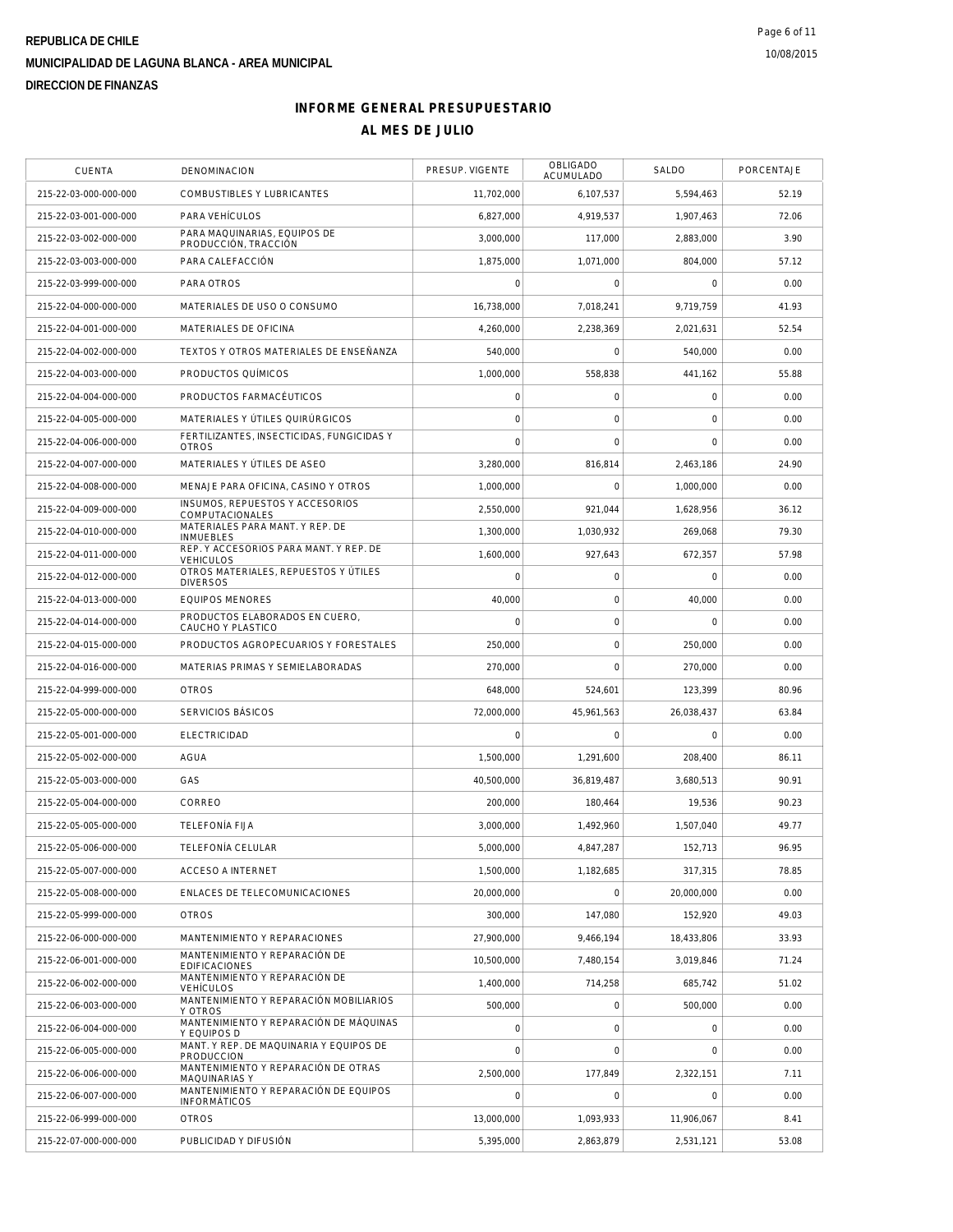| CUENTA                | DENOMINACION                                                 | PRESUP. VIGENTE     | <b>OBLIGADO</b><br>ACUMULADO | SALDO       | PORCENTAJE |
|-----------------------|--------------------------------------------------------------|---------------------|------------------------------|-------------|------------|
| 215-22-03-000-000-000 | COMBUSTIBLES Y LUBRICANTES                                   | 11,702,000          | 6,107,537                    | 5,594,463   | 52.19      |
| 215-22-03-001-000-000 | PARA VEHÍCULOS                                               | 6.827.000           | 4.919.537                    | 1,907,463   | 72.06      |
| 215-22-03-002-000-000 | PARA MAQUINARIAS, EQUIPOS DE<br>PRODUCCIÓN, TRACCIÓN         | 3,000,000           | 117.000                      | 2,883,000   | 3.90       |
| 215-22-03-003-000-000 | PARA CALEFACCIÓN                                             | 1,875,000           | 1,071,000                    | 804.000     | 57.12      |
| 215-22-03-999-000-000 | PARA OTROS                                                   | $\Omega$            | $\mathbf 0$                  | $\mathbf 0$ | 0.00       |
| 215-22-04-000-000-000 | MATERIALES DE USO O CONSUMO                                  | 16,738,000          | 7,018,241                    | 9,719,759   | 41.93      |
| 215-22-04-001-000-000 | MATERIALES DE OFICINA                                        | 4,260,000           | 2,238,369                    | 2,021,631   | 52.54      |
| 215-22-04-002-000-000 | TEXTOS Y OTROS MATERIALES DE ENSEÑANZA                       | 540,000             | $\mathbf 0$                  | 540,000     | 0.00       |
| 215-22-04-003-000-000 | PRODUCTOS QUÍMICOS                                           | 1,000,000           | 558,838                      | 441,162     | 55.88      |
| 215-22-04-004-000-000 | PRODUCTOS FARMACÉUTICOS                                      | $\mathsf{O}\xspace$ | $\mathsf O$                  | $\mathbf 0$ | 0.00       |
| 215-22-04-005-000-000 | MATERIALES Y ÚTILES QUIRÚRGICOS                              | $\mathbf 0$         | $\mathbf 0$                  | $\mathbf 0$ | 0.00       |
| 215-22-04-006-000-000 | FERTILIZANTES, INSECTICIDAS, FUNGICIDAS Y<br><b>OTROS</b>    | $\overline{0}$      | $\mathbf 0$                  | $\Omega$    | 0.00       |
| 215-22-04-007-000-000 | MATERIALES Y ÚTILES DE ASEO                                  | 3.280.000           | 816.814                      | 2,463,186   | 24.90      |
| 215-22-04-008-000-000 | MENAJE PARA OFICINA, CASINO Y OTROS                          | 1,000,000           | $\Omega$                     | 1.000.000   | 0.00       |
| 215-22-04-009-000-000 | INSUMOS, REPUESTOS Y ACCESORIOS<br>COMPUTACIONALES           | 2,550,000           | 921,044                      | 1,628,956   | 36.12      |
| 215-22-04-010-000-000 | MATERIALES PARA MANT. Y REP. DE<br><b>INMUEBLES</b>          | 1,300,000           | 1,030,932                    | 269,068     | 79.30      |
| 215-22-04-011-000-000 | REP. Y ACCESORIOS PARA MANT. Y REP. DE<br><b>VEHICULOS</b>   | 1.600.000           | 927,643                      | 672,357     | 57.98      |
| 215-22-04-012-000-000 | OTROS MATERIALES, REPUESTOS Y ÚTILES<br><b>DIVERSOS</b>      | $\mathbf 0$         | $\mathbf 0$                  | $\mathbf 0$ | 0.00       |
| 215-22-04-013-000-000 | <b>EQUIPOS MENORES</b>                                       | 40,000              | $\mathbf 0$                  | 40,000      | 0.00       |
| 215-22-04-014-000-000 | PRODUCTOS ELABORADOS EN CUERO,<br>CAUCHO Y PLASTICO          | $\mathbf 0$         | $\mathbf 0$                  | $\mathbf 0$ | 0.00       |
| 215-22-04-015-000-000 | PRODUCTOS AGROPECUARIOS Y FORESTALES                         | 250,000             | $\mathsf O$                  | 250,000     | 0.00       |
| 215-22-04-016-000-000 | MATERIAS PRIMAS Y SEMIELABORADAS                             | 270,000             | $\mathbf 0$                  | 270,000     | 0.00       |
| 215-22-04-999-000-000 | <b>OTROS</b>                                                 | 648,000             | 524,601                      | 123,399     | 80.96      |
| 215-22-05-000-000-000 | SERVICIOS BÁSICOS                                            | 72,000,000          | 45,961,563                   | 26,038,437  | 63.84      |
| 215-22-05-001-000-000 | <b>ELECTRICIDAD</b>                                          | 0                   | 0                            | $\mathbf 0$ | 0.00       |
| 215-22-05-002-000-000 | <b>AGUA</b>                                                  | 1,500,000           | 1,291,600                    | 208,400     | 86.11      |
| 215-22-05-003-000-000 | GAS                                                          | 40,500,000          | 36,819,487                   | 3,680,513   | 90.91      |
| 215-22-05-004-000-000 | CORREO                                                       | 200,000             | 180,464                      | 19,536      | 90.23      |
| 215-22-05-005-000-000 | <b>TELEFONÍA FIJA</b>                                        | 3,000,000           | 1,492,960                    | 1,507,040   | 49.77      |
| 215-22-05-006-000-000 | TELEFONÍA CELULAR                                            | 5,000,000           | 4,847,287                    | 152.713     | 96.95      |
| 215-22-05-007-000-000 | <b>ACCESO A INTERNET</b>                                     | 1,500,000           | 1,182,685                    | 317,315     | 78.85      |
| 215-22-05-008-000-000 | ENLACES DE TELECOMUNICACIONES                                | 20,000,000          | $\mathbf 0$                  | 20,000,000  | 0.00       |
| 215-22-05-999-000-000 | <b>OTROS</b>                                                 | 300,000             | 147,080                      | 152,920     | 49.03      |
| 215-22-06-000-000-000 | MANTENIMIENTO Y REPARACIONES                                 | 27,900,000          | 9,466,194                    | 18.433.806  | 33.93      |
| 215-22-06-001-000-000 | MANTENIMIENTO Y REPARACIÓN DE<br><b>EDIFICACIONES</b>        | 10,500,000          | 7,480,154                    | 3,019,846   | 71.24      |
| 215-22-06-002-000-000 | MANTENIMIENTO Y REPARACIÓN DE<br><b>VEHÍCULOS</b>            | 1,400,000           | 714,258                      | 685,742     | 51.02      |
| 215-22-06-003-000-000 | MANTENIMIENTO Y REPARACIÓN MOBILIARIOS<br>Y OTROS            | 500,000             | $\mathsf O$                  | 500,000     | 0.00       |
| 215-22-06-004-000-000 | MANTENIMIENTO Y REPARACIÓN DE MÁQUINAS<br>Y EQUIPOS D        | $\circ$             | $\mathsf{O}\xspace$          | $\mathbf 0$ | 0.00       |
| 215-22-06-005-000-000 | MANT. Y REP. DE MAQUINARIA Y EQUIPOS DE<br>PRODUCCION        | $\mathbf 0$         | $\mathbf 0$                  | 0           | 0.00       |
| 215-22-06-006-000-000 | MANTENIMIENTO Y REPARACIÓN DE OTRAS<br>MAQUINARIAS Y         | 2,500,000           | 177,849                      | 2,322,151   | 7.11       |
| 215-22-06-007-000-000 | MANTENIMIENTO Y REPARACIÓN DE EQUIPOS<br><b>INFORMÁTICOS</b> | $\mathbf 0$         | $\mathbf 0$                  | $\mathbf 0$ | 0.00       |
| 215-22-06-999-000-000 | <b>OTROS</b>                                                 | 13,000,000          | 1,093,933                    | 11,906,067  | 8.41       |
| 215-22-07-000-000-000 | PUBLICIDAD Y DIFUSIÓN                                        | 5,395,000           | 2,863,879                    | 2,531,121   | 53.08      |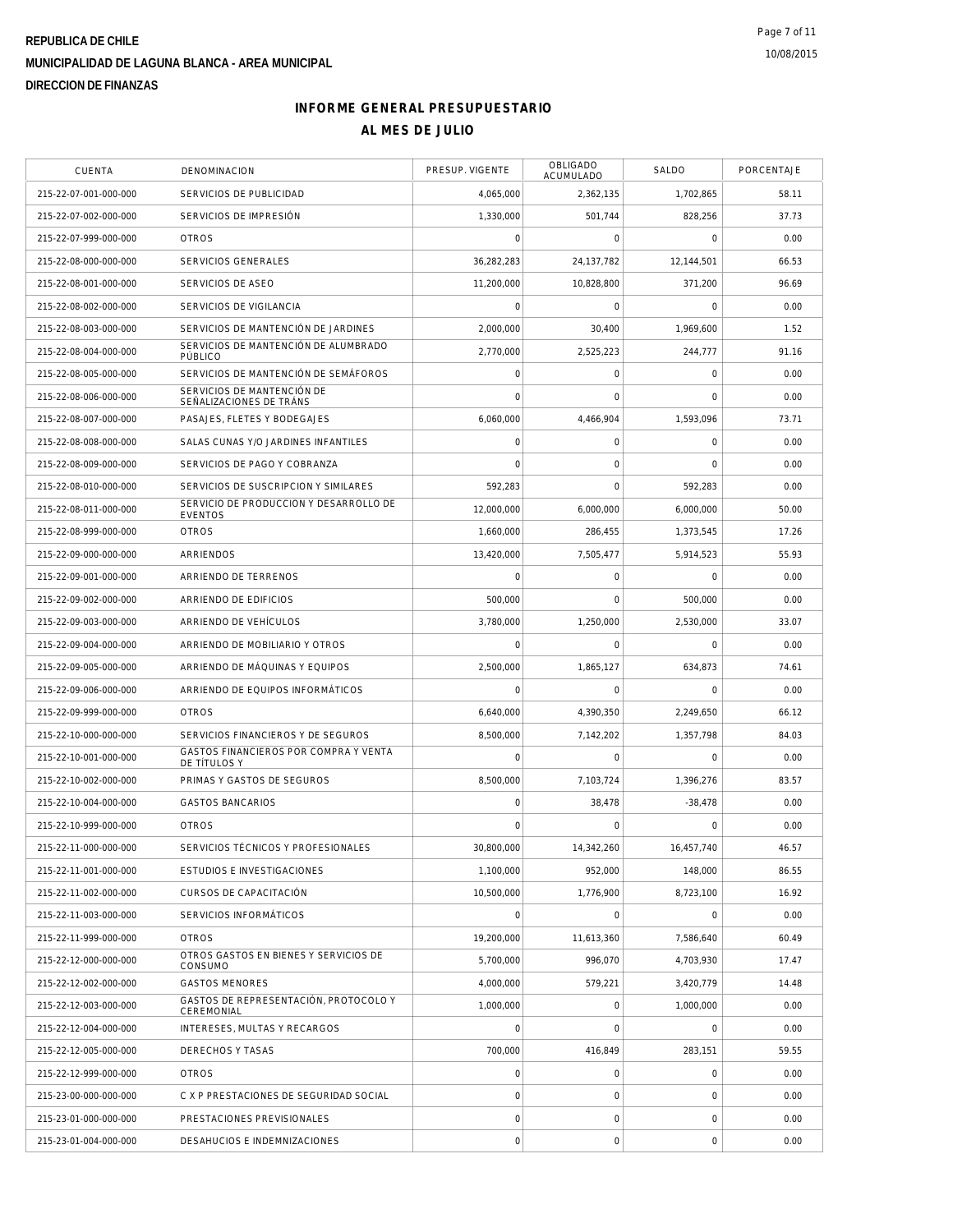| CUENTA                | DENOMINACION                                             | PRESUP. VIGENTE | OBLIGADO<br>ACUMULADO | SALDO               | PORCENTAJE |
|-----------------------|----------------------------------------------------------|-----------------|-----------------------|---------------------|------------|
| 215-22-07-001-000-000 | SERVICIOS DE PUBLICIDAD                                  | 4,065,000       | 2,362,135             | 1,702,865           | 58.11      |
| 215-22-07-002-000-000 | SERVICIOS DE IMPRESIÓN                                   | 1,330,000       | 501.744               | 828,256             | 37.73      |
| 215-22-07-999-000-000 | <b>OTROS</b>                                             | 0               | 0                     | $\mathbf 0$         | 0.00       |
| 215-22-08-000-000-000 | <b>SERVICIOS GENERALES</b>                               | 36,282,283      | 24, 137, 782          | 12,144,501          | 66.53      |
| 215-22-08-001-000-000 | SERVICIOS DE ASEO                                        | 11,200,000      | 10,828,800            | 371,200             | 96.69      |
| 215-22-08-002-000-000 | SERVICIOS DE VIGILANCIA                                  | 0               | $\mathsf{O}\xspace$   | $\mathbf 0$         | 0.00       |
| 215-22-08-003-000-000 | SERVICIOS DE MANTENCIÓN DE JARDINES                      | 2,000,000       | 30,400                | 1,969,600           | 1.52       |
| 215-22-08-004-000-000 | SERVICIOS DE MANTENCIÓN DE ALUMBRADO<br>PÚBLICO          | 2,770,000       | 2,525,223             | 244,777             | 91.16      |
| 215-22-08-005-000-000 | SERVICIOS DE MANTENCIÓN DE SEMÁFOROS                     | 0               | 0                     | $\mathsf{O}\xspace$ | 0.00       |
| 215-22-08-006-000-000 | SERVICIOS DE MANTENCIÓN DE<br>SEÑALIZACIONES DE TRÁNS    | 0               | 0                     | 0                   | 0.00       |
| 215-22-08-007-000-000 | PASAJES, FLETES Y BODEGAJES                              | 6,060,000       | 4,466,904             | 1,593,096           | 73.71      |
| 215-22-08-008-000-000 | SALAS CUNAS Y/O JARDINES INFANTILES                      | 0               | 0                     | 0                   | 0.00       |
| 215-22-08-009-000-000 | SERVICIOS DE PAGO Y COBRANZA                             | 0               | $\mathbf 0$           | $\mathbf 0$         | 0.00       |
| 215-22-08-010-000-000 | SERVICIOS DE SUSCRIPCION Y SIMILARES                     | 592,283         | $\mathbf 0$           | 592,283             | 0.00       |
| 215-22-08-011-000-000 | SERVICIO DE PRODUCCION Y DESARROLLO DE<br><b>EVENTOS</b> | 12,000,000      | 6,000,000             | 6,000,000           | 50.00      |
| 215-22-08-999-000-000 | <b>OTROS</b>                                             | 1,660,000       | 286.455               | 1,373,545           | 17.26      |
| 215-22-09-000-000-000 | ARRIENDOS                                                | 13,420,000      | 7,505,477             | 5,914,523           | 55.93      |
| 215-22-09-001-000-000 | ARRIENDO DE TERRENOS                                     | 0               | 0                     | $\mathbf 0$         | 0.00       |
| 215-22-09-002-000-000 | ARRIENDO DE EDIFICIOS                                    | 500,000         | $\mathbf 0$           | 500,000             | 0.00       |
| 215-22-09-003-000-000 | ARRIENDO DE VEHÍCULOS                                    | 3,780,000       | 1,250,000             | 2,530,000           | 33.07      |
| 215-22-09-004-000-000 | ARRIENDO DE MOBILIARIO Y OTROS                           | 0               | 0                     | $\mathbf 0$         | 0.00       |
| 215-22-09-005-000-000 | ARRIENDO DE MÁQUINAS Y EQUIPOS                           | 2,500,000       | 1,865,127             | 634,873             | 74.61      |
| 215-22-09-006-000-000 | ARRIENDO DE EQUIPOS INFORMÁTICOS                         | 0               | $\mathbf 0$           | $\mathbf 0$         | 0.00       |
| 215-22-09-999-000-000 | <b>OTROS</b>                                             | 6,640,000       | 4,390,350             | 2,249,650           | 66.12      |
| 215-22-10-000-000-000 | SERVICIOS FINANCIEROS Y DE SEGUROS                       | 8,500,000       | 7,142,202             | 1,357,798           | 84.03      |
| 215-22-10-001-000-000 | GASTOS FINANCIEROS POR COMPRA Y VENTA<br>DE TÍTULOS Y    | 0               | $\mathsf{O}\xspace$   | 0                   | 0.00       |
| 215-22-10-002-000-000 | PRIMAS Y GASTOS DE SEGUROS                               | 8,500,000       | 7,103,724             | 1,396,276           | 83.57      |
| 215-22-10-004-000-000 | <b>GASTOS BANCARIOS</b>                                  | 0               | 38,478                | $-38,478$           | 0.00       |
| 215-22-10-999-000-000 | <b>OTROS</b>                                             | $\Omega$        | $\Omega$              | O                   | 0.00       |
| 215-22-11-000-000-000 | SERVICIOS TÉCNICOS Y PROFESIONALES                       | 30,800,000      | 14,342,260            | 16,457,740          | 46.57      |
| 215-22-11-001-000-000 | ESTUDIOS E INVESTIGACIONES                               | 1,100,000       | 952.000               | 148,000             | 86.55      |
| 215-22-11-002-000-000 | CURSOS DE CAPACITACIÓN                                   | 10.500.000      | 1,776,900             | 8,723,100           | 16.92      |
| 215-22-11-003-000-000 | SERVICIOS INFORMÁTICOS                                   | 0               | 0                     | $\mathbf 0$         | 0.00       |
| 215-22-11-999-000-000 | <b>OTROS</b>                                             | 19,200,000      | 11,613,360            | 7,586,640           | 60.49      |
| 215-22-12-000-000-000 | OTROS GASTOS EN BIENES Y SERVICIOS DE<br>CONSUMO         | 5,700,000       | 996.070               | 4,703,930           | 17.47      |
| 215-22-12-002-000-000 | <b>GASTOS MENORES</b>                                    | 4,000,000       | 579,221               | 3,420,779           | 14.48      |
| 215-22-12-003-000-000 | GASTOS DE REPRESENTACIÓN, PROTOCOLO Y<br>CEREMONIAL      | 1,000,000       | 0                     | 1,000,000           | 0.00       |
| 215-22-12-004-000-000 | INTERESES, MULTAS Y RECARGOS                             | 0               | $\mathbf 0$           | $\mathbf 0$         | 0.00       |
| 215-22-12-005-000-000 | DERECHOS Y TASAS                                         | 700,000         | 416,849               | 283,151             | 59.55      |
| 215-22-12-999-000-000 | <b>OTROS</b>                                             | $\overline{0}$  | 0                     | 0                   | 0.00       |
| 215-23-00-000-000-000 | C X P PRESTACIONES DE SEGURIDAD SOCIAL                   | 0               | 0                     | 0                   | 0.00       |
| 215-23-01-000-000-000 | PRESTACIONES PREVISIONALES                               | 0               | 0                     | 0                   | 0.00       |
| 215-23-01-004-000-000 | DESAHUCIOS E INDEMNIZACIONES                             | $\circ$         | $\mathsf{O}\xspace$   | $\mathbf 0$         | 0.00       |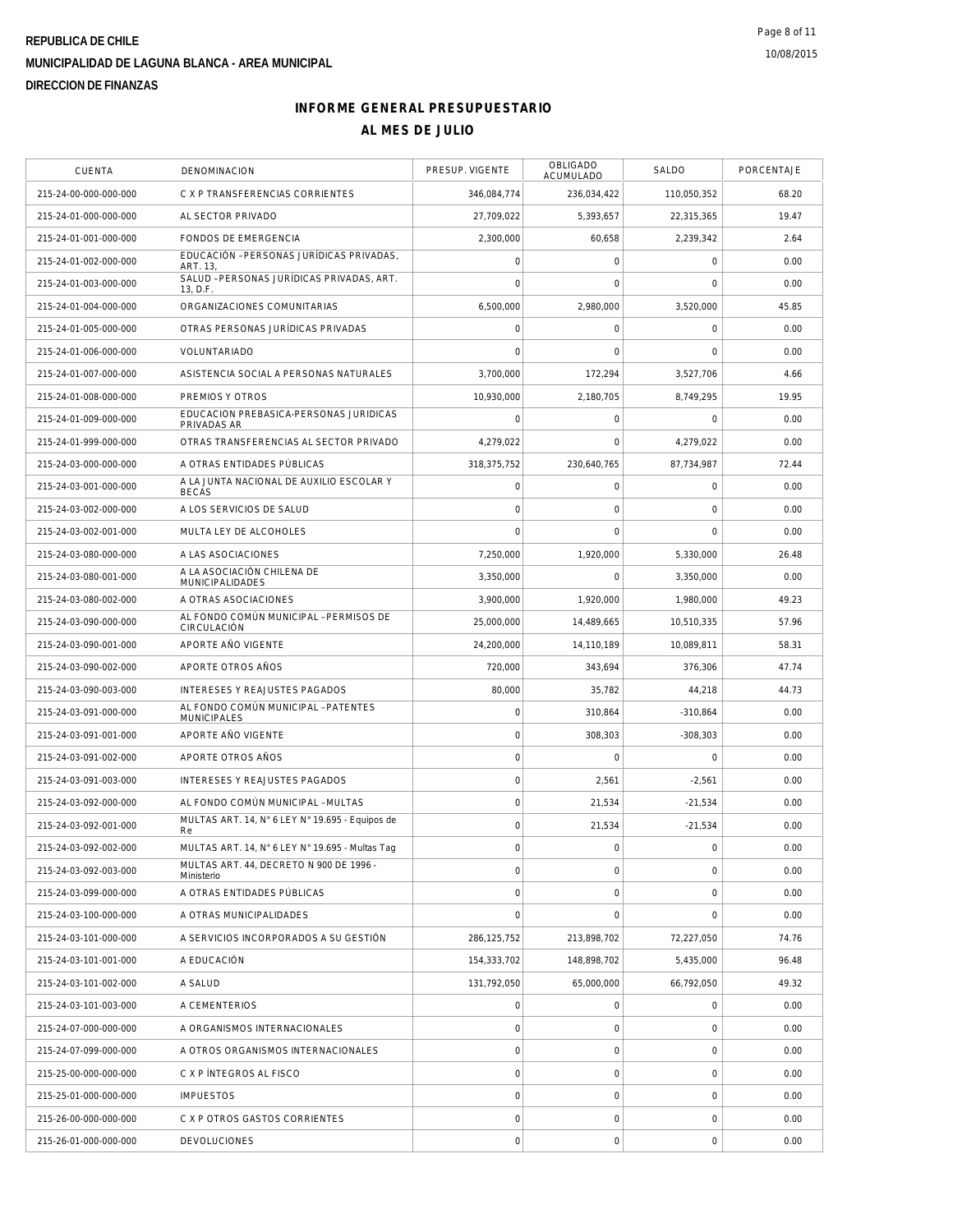| <b>CUENTA</b>         | <b>DENOMINACION</b>                                       | PRESUP. VIGENTE     | OBLIGADO<br>ACUMULADO | SALDO       | PORCENTAJE |
|-----------------------|-----------------------------------------------------------|---------------------|-----------------------|-------------|------------|
| 215-24-00-000-000-000 | C X P TRANSFERENCIAS CORRIENTES                           | 346,084,774         | 236,034,422           | 110,050,352 | 68.20      |
| 215-24-01-000-000-000 | AL SECTOR PRIVADO                                         | 27,709,022          | 5,393,657             | 22,315,365  | 19.47      |
| 215-24-01-001-000-000 | FONDOS DE EMERGENCIA                                      | 2,300,000           | 60,658                | 2,239,342   | 2.64       |
| 215-24-01-002-000-000 | EDUCACIÓN - PERSONAS JURÍDICAS PRIVADAS.<br>ART. 13,      | $\mathsf{O}\xspace$ | 0                     | 0           | 0.00       |
| 215-24-01-003-000-000 | SALUD - PERSONAS JURÍDICAS PRIVADAS, ART.<br>13, D.F.     | $\overline{0}$      | $\mathbf 0$           | $\mathbf 0$ | 0.00       |
| 215-24-01-004-000-000 | ORGANIZACIONES COMUNITARIAS                               | 6,500,000           | 2,980,000             | 3,520,000   | 45.85      |
| 215-24-01-005-000-000 | OTRAS PERSONAS JURÍDICAS PRIVADAS                         | $\mathbf 0$         | 0                     | 0           | 0.00       |
| 215-24-01-006-000-000 | VOLUNTARIADO                                              | $\mathbf 0$         | $\mathbf 0$           | $\mathbf 0$ | 0.00       |
| 215-24-01-007-000-000 | ASISTENCIA SOCIAL A PERSONAS NATURALES                    | 3.700.000           | 172,294               | 3,527,706   | 4.66       |
| 215-24-01-008-000-000 | PREMIOS Y OTROS                                           | 10,930,000          | 2,180,705             | 8,749,295   | 19.95      |
| 215-24-01-009-000-000 | EDUCACION PREBASICA-PERSONAS JURIDICAS<br>PRIVADAS AR     | $\mathsf{O}\xspace$ | 0                     | $\mathbf 0$ | 0.00       |
| 215-24-01-999-000-000 | OTRAS TRANSFERENCIAS AL SECTOR PRIVADO                    | 4,279,022           | $\mathbf 0$           | 4,279,022   | 0.00       |
| 215-24-03-000-000-000 | A OTRAS ENTIDADES PÚBLICAS                                | 318,375,752         | 230.640.765           | 87,734,987  | 72.44      |
| 215-24-03-001-000-000 | A LA JUNTA NACIONAL DE AUXILIO ESCOLAR Y<br><b>BECAS</b>  | $\mathsf{O}\xspace$ | 0                     | $\mathbf 0$ | 0.00       |
| 215-24-03-002-000-000 | A LOS SERVICIOS DE SALUD                                  | $\mathbf 0$         | $\mathbf 0$           | $\mathbf 0$ | 0.00       |
| 215-24-03-002-001-000 | MULTA LEY DE ALCOHOLES                                    | $\overline{0}$      | $\mathbf 0$           | $\mathbf 0$ | 0.00       |
| 215-24-03-080-000-000 | A LAS ASOCIACIONES                                        | 7,250,000           | 1.920.000             | 5,330,000   | 26.48      |
| 215-24-03-080-001-000 | A LA ASOCIACIÓN CHILENA DE<br><b>MUNICIPALIDADES</b>      | 3,350,000           | $\mathbf 0$           | 3,350,000   | 0.00       |
| 215-24-03-080-002-000 | A OTRAS ASOCIACIONES                                      | 3,900,000           | 1.920.000             | 1,980,000   | 49.23      |
| 215-24-03-090-000-000 | AL FONDO COMÚN MUNICIPAL - PERMISOS DE<br>CIRCULACIÓN     | 25,000,000          | 14,489,665            | 10,510,335  | 57.96      |
| 215-24-03-090-001-000 | APORTE AÑO VIGENTE                                        | 24,200,000          | 14,110,189            | 10,089,811  | 58.31      |
| 215-24-03-090-002-000 | APORTE OTROS AÑOS                                         | 720,000             | 343,694               | 376,306     | 47.74      |
| 215-24-03-090-003-000 | INTERESES Y REAJUSTES PAGADOS                             | 80,000              | 35,782                | 44,218      | 44.73      |
| 215-24-03-091-000-000 | AL FONDO COMÚN MUNICIPAL - PATENTES<br><b>MUNICIPALES</b> | $\mathbf 0$         | 310,864               | $-310,864$  | 0.00       |
| 215-24-03-091-001-000 | APORTE AÑO VIGENTE                                        | $\mathbf 0$         | 308,303               | $-308,303$  | 0.00       |
| 215-24-03-091-002-000 | APORTE OTROS AÑOS                                         | $\mathbf 0$         | $\mathbf 0$           | $\mathbf 0$ | 0.00       |
| 215-24-03-091-003-000 | <b>INTERESES Y REAJUSTES PAGADOS</b>                      | $\mathsf{O}\xspace$ | 2,561                 | $-2,561$    | 0.00       |
| 215-24-03-092-000-000 | AL FONDO COMÚN MUNICIPAL - MULTAS                         | $\mathbf 0$         | 21,534                | $-21,534$   | 0.00       |
| 215-24-03-092-001-000 | MULTAS ART. 14, N° 6 LEY N° 19.695 - Equipos de<br>Re     | $\mathbf 0$         | 21,534                | $-21,534$   | 0.00       |
| 215-24-03-092-002-000 | MULTAS ART. 14, N° 6 LEY N° 19.695 - Multas Tag           | $\mathbf 0$         | $\mathbf 0$           | 0           | 0.00       |
| 215-24-03-092-003-000 | MULTAS ART. 44, DECRETO N 900 DE 1996 -<br>Ministerio     | $\mathbf 0$         | 0                     | 0           | 0.00       |
| 215-24-03-099-000-000 | A OTRAS ENTIDADES PÚBLICAS                                | $\mathsf{O}\xspace$ | $\mathbf 0$           | $\mathbf 0$ | 0.00       |
| 215-24-03-100-000-000 | A OTRAS MUNICIPALIDADES                                   | $\mathbf 0$         | $\mathbf 0$           | $\mathbf 0$ | 0.00       |
| 215-24-03-101-000-000 | A SERVICIOS INCORPORADOS A SU GESTIÓN                     | 286, 125, 752       | 213,898,702           | 72,227,050  | 74.76      |
| 215-24-03-101-001-000 | A EDUCACIÓN                                               | 154,333,702         | 148,898,702           | 5,435,000   | 96.48      |
| 215-24-03-101-002-000 | A SALUD                                                   | 131,792,050         | 65,000,000            | 66,792,050  | 49.32      |
| 215-24-03-101-003-000 | A CEMENTERIOS                                             | $\mathsf{O}\xspace$ | $\mathbf 0$           | $\mathbf 0$ | 0.00       |
| 215-24-07-000-000-000 | A ORGANISMOS INTERNACIONALES                              | $\mathbf 0$         | $\mathsf{O}\xspace$   | 0           | 0.00       |
| 215-24-07-099-000-000 | A OTROS ORGANISMOS INTERNACIONALES                        | 0                   | 0                     | 0           | 0.00       |
| 215-25-00-000-000-000 | C X P INTEGROS AL FISCO                                   | $\mathsf{O}\xspace$ | $\mathsf{O}\xspace$   | 0           | 0.00       |
| 215-25-01-000-000-000 | <b>IMPUESTOS</b>                                          | $\mathsf{O}\xspace$ | 0                     | 0           | 0.00       |
| 215-26-00-000-000-000 | C X P OTROS GASTOS CORRIENTES                             | 0                   | 0                     | 0           | 0.00       |
| 215-26-01-000-000-000 | <b>DEVOLUCIONES</b>                                       | $\mathsf{O}\xspace$ | $\mathsf{O}\xspace$   | 0           | 0.00       |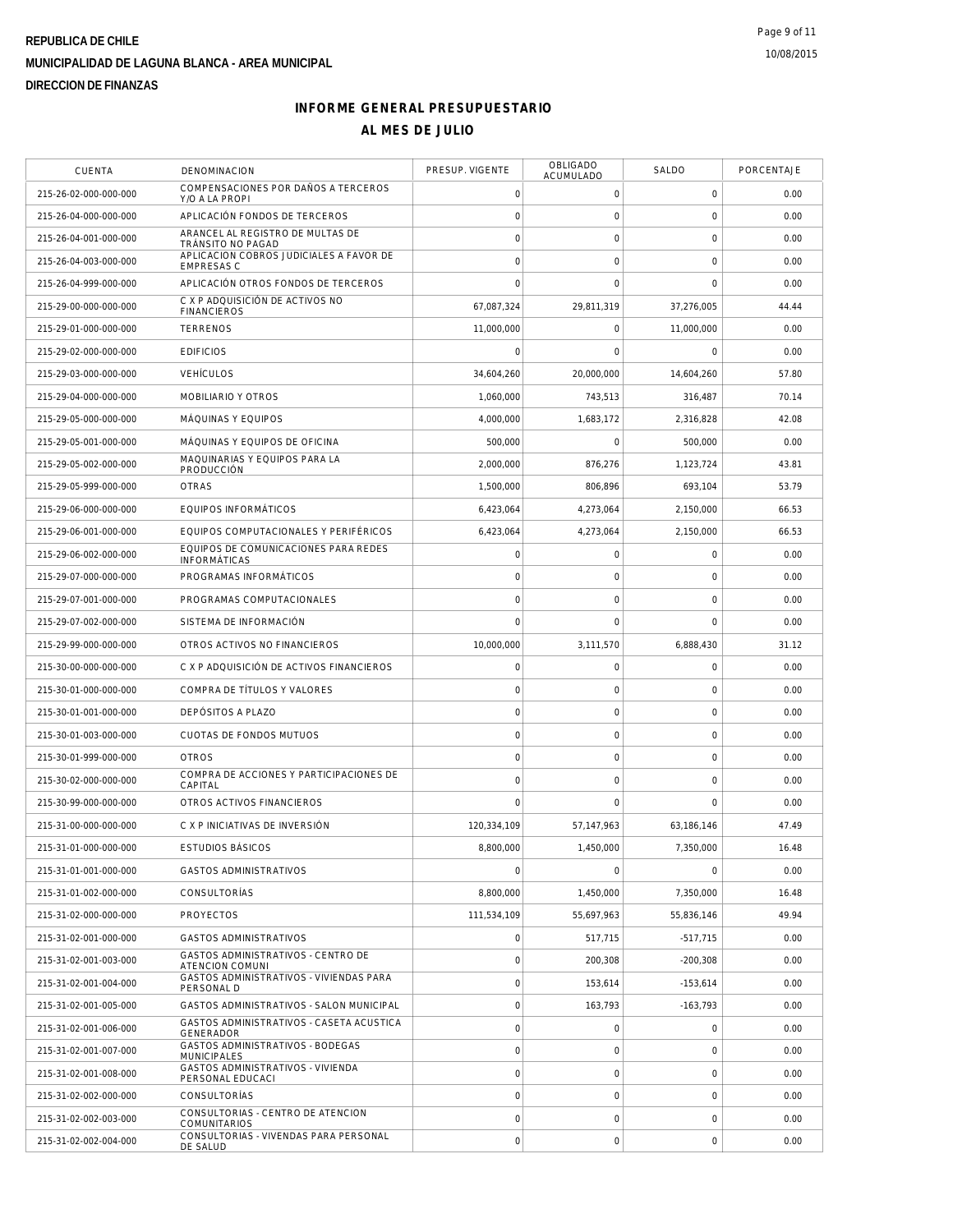| <b>CUENTA</b>         | <b>DENOMINACION</b>                                          | PRESUP. VIGENTE     | OBLIGADO<br>ACUMULADO | SALDO               | PORCENTAJE |
|-----------------------|--------------------------------------------------------------|---------------------|-----------------------|---------------------|------------|
| 215-26-02-000-000-000 | COMPENSACIONES POR DAÑOS A TERCEROS<br>Y/O A LA PROPI        | $\mathbf 0$         | 0                     | $\mathbf 0$         | 0.00       |
| 215-26-04-000-000-000 | APLICACIÓN FONDOS DE TERCEROS                                | $\mathbf 0$         | $\mathsf O$           | $\mathsf{O}\xspace$ | 0.00       |
| 215-26-04-001-000-000 | ARANCEL AL REGISTRO DE MULTAS DE<br>TRÁNSITO NO PAGAD        | $\circ$             | $\mathsf O$           | $\mathbf 0$         | 0.00       |
| 215-26-04-003-000-000 | APLICACION COBROS JUDICIALES A FAVOR DE<br><b>EMPRESAS C</b> | $\circ$             | $\mathbf 0$           | $\mathbf 0$         | 0.00       |
| 215-26-04-999-000-000 | APLICACIÓN OTROS FONDOS DE TERCEROS                          | $\Omega$            | $\mathbf 0$           | $\mathbf 0$         | 0.00       |
| 215-29-00-000-000-000 | C X P ADQUISICIÓN DE ACTIVOS NO<br><b>FINANCIEROS</b>        | 67,087,324          | 29,811,319            | 37,276,005          | 44.44      |
| 215-29-01-000-000-000 | <b>TERRENOS</b>                                              | 11,000,000          | $\mathsf{O}\xspace$   | 11,000,000          | 0.00       |
| 215-29-02-000-000-000 | <b>EDIFICIOS</b>                                             | $\Omega$            | $\mathbf 0$           | 0                   | 0.00       |
| 215-29-03-000-000-000 | <b>VEHÍCULOS</b>                                             | 34,604,260          | 20,000,000            | 14,604,260          | 57.80      |
| 215-29-04-000-000-000 | MOBILIARIO Y OTROS                                           | 1,060,000           | 743,513               | 316,487             | 70.14      |
| 215-29-05-000-000-000 | MÁQUINAS Y EQUIPOS                                           | 4,000,000           | 1,683,172             | 2,316,828           | 42.08      |
| 215-29-05-001-000-000 | MÁQUINAS Y EQUIPOS DE OFICINA                                | 500,000             | $\mathsf{O}\xspace$   | 500,000             | 0.00       |
| 215-29-05-002-000-000 | MAQUINARIAS Y EQUIPOS PARA LA<br>PRODUCCIÓN                  | 2,000,000           | 876,276               | 1,123,724           | 43.81      |
| 215-29-05-999-000-000 | <b>OTRAS</b>                                                 | 1,500,000           | 806.896               | 693,104             | 53.79      |
| 215-29-06-000-000-000 | <b>EQUIPOS INFORMÁTICOS</b>                                  | 6,423,064           | 4,273,064             | 2,150,000           | 66.53      |
| 215-29-06-001-000-000 | EQUIPOS COMPUTACIONALES Y PERIFÉRICOS                        | 6,423,064           | 4,273,064             | 2,150,000           | 66.53      |
| 215-29-06-002-000-000 | EQUIPOS DE COMUNICACIONES PARA REDES<br><b>INFORMÁTICAS</b>  | $\mathbf 0$         | $\mathsf{O}\xspace$   | $\mathbf 0$         | 0.00       |
| 215-29-07-000-000-000 | PROGRAMAS INFORMÁTICOS                                       | $\circ$             | $\mathsf{O}\xspace$   | $\mathbf 0$         | 0.00       |
| 215-29-07-001-000-000 | PROGRAMAS COMPUTACIONALES                                    | $\circ$             | $\mathsf{O}\xspace$   | $\mathbf 0$         | 0.00       |
| 215-29-07-002-000-000 | SISTEMA DE INFORMACIÓN                                       | $\mathbf 0$         | $\mathbf 0$           | $\mathbf 0$         | 0.00       |
| 215-29-99-000-000-000 | OTROS ACTIVOS NO FINANCIEROS                                 | 10,000,000          | 3,111,570             | 6,888,430           | 31.12      |
| 215-30-00-000-000-000 | C X P ADQUISICIÓN DE ACTIVOS FINANCIEROS                     | $\mathbf 0$         | $\mathsf O$           | $\mathbf 0$         | 0.00       |
| 215-30-01-000-000-000 | COMPRA DE TÍTULOS Y VALORES                                  | $\mathbf 0$         | $\mathbf 0$           | $\mathbf 0$         | 0.00       |
| 215-30-01-001-000-000 | DEPÓSITOS A PLAZO                                            | $\mathbf 0$         | $\mathsf{O}\xspace$   | $\mathbf 0$         | 0.00       |
| 215-30-01-003-000-000 | CUOTAS DE FONDOS MUTUOS                                      | $\mathbf 0$         | $\mathsf{O}\xspace$   | $\mathbf 0$         | 0.00       |
| 215-30-01-999-000-000 | <b>OTROS</b>                                                 | $\circ$             | $\mathsf{O}\xspace$   | $\mathsf{O}\xspace$ | 0.00       |
| 215-30-02-000-000-000 | COMPRA DE ACCIONES Y PARTICIPACIONES DE<br>CAPITAL           | $\circ$             | $\mathsf O$           | $\mathbf 0$         | 0.00       |
| 215-30-99-000-000-000 | OTROS ACTIVOS FINANCIEROS                                    | $\Omega$            | $\mathbf 0$           | $\mathbf 0$         | 0.00       |
| 215-31-00-000-000-000 | C X P INICIATIVAS DE INVERSIÓN                               | 120,334,109         | 57, 147, 963          | 63,186,146          | 47.49      |
| 215-31-01-000-000-000 | <b>ESTUDIOS BÁSICOS</b>                                      | 8,800,000           | 1.450.000             | 7,350,000           | 16.48      |
| 215-31-01-001-000-000 | GASTOS ADMINISTRATIVOS                                       | $\mathbf 0$         | $\mathsf{O}\xspace$   | $\mathbf 0$         | 0.00       |
| 215-31-01-002-000-000 | CONSULTORÍAS                                                 | 8,800,000           | 1,450,000             | 7,350,000           | 16.48      |
| 215-31-02-000-000-000 | <b>PROYECTOS</b>                                             | 111,534,109         | 55.697.963            | 55,836,146          | 49.94      |
| 215-31-02-001-000-000 | <b>GASTOS ADMINISTRATIVOS</b>                                | $\circ$             | 517,715               | $-517,715$          | 0.00       |
| 215-31-02-001-003-000 | <b>GASTOS ADMINISTRATIVOS - CENTRO DE</b><br>ATENCION COMUNI | $\mathsf{O}\xspace$ | 200,308               | $-200,308$          | 0.00       |
| 215-31-02-001-004-000 | GASTOS ADMINISTRATIVOS - VIVIENDAS PARA<br>PERSONAL D        | $\circ$             | 153,614               | $-153,614$          | 0.00       |
| 215-31-02-001-005-000 | GASTOS ADMINISTRATIVOS - SALON MUNICIPAL                     | $\mathbf 0$         | 163,793               | $-163,793$          | 0.00       |
| 215-31-02-001-006-000 | GASTOS ADMINISTRATIVOS - CASETA ACUSTICA<br>GENERADOR        | $\mathsf{O}\xspace$ | $\mathsf O$           | 0                   | 0.00       |
| 215-31-02-001-007-000 | GASTOS ADMINISTRATIVOS - BODEGAS<br><b>MUNICIPALES</b>       | $\circ$             | $\mathsf O$           | $\mathbf 0$         | 0.00       |
| 215-31-02-001-008-000 | GASTOS ADMINISTRATIVOS - VIVIENDA<br>PERSONAL EDUCACI        | $\circ$             | $\mathsf{O}\xspace$   | $\mathbf 0$         | 0.00       |
| 215-31-02-002-000-000 | CONSULTORÍAS                                                 | $\mathbf 0$         | $\mathbf 0$           | $\mathbf 0$         | 0.00       |
| 215-31-02-002-003-000 | CONSULTORIAS - CENTRO DE ATENCION<br><b>COMUNITARIOS</b>     | $\mathsf{O}\xspace$ | $\mathsf O$           | $\mathbf 0$         | 0.00       |
| 215-31-02-002-004-000 | CONSULTORIAS - VIVENDAS PARA PERSONAL<br>DE SALUD            | $\mathbf 0$         | $\mathsf{O}\xspace$   | $\mathbf 0$         | 0.00       |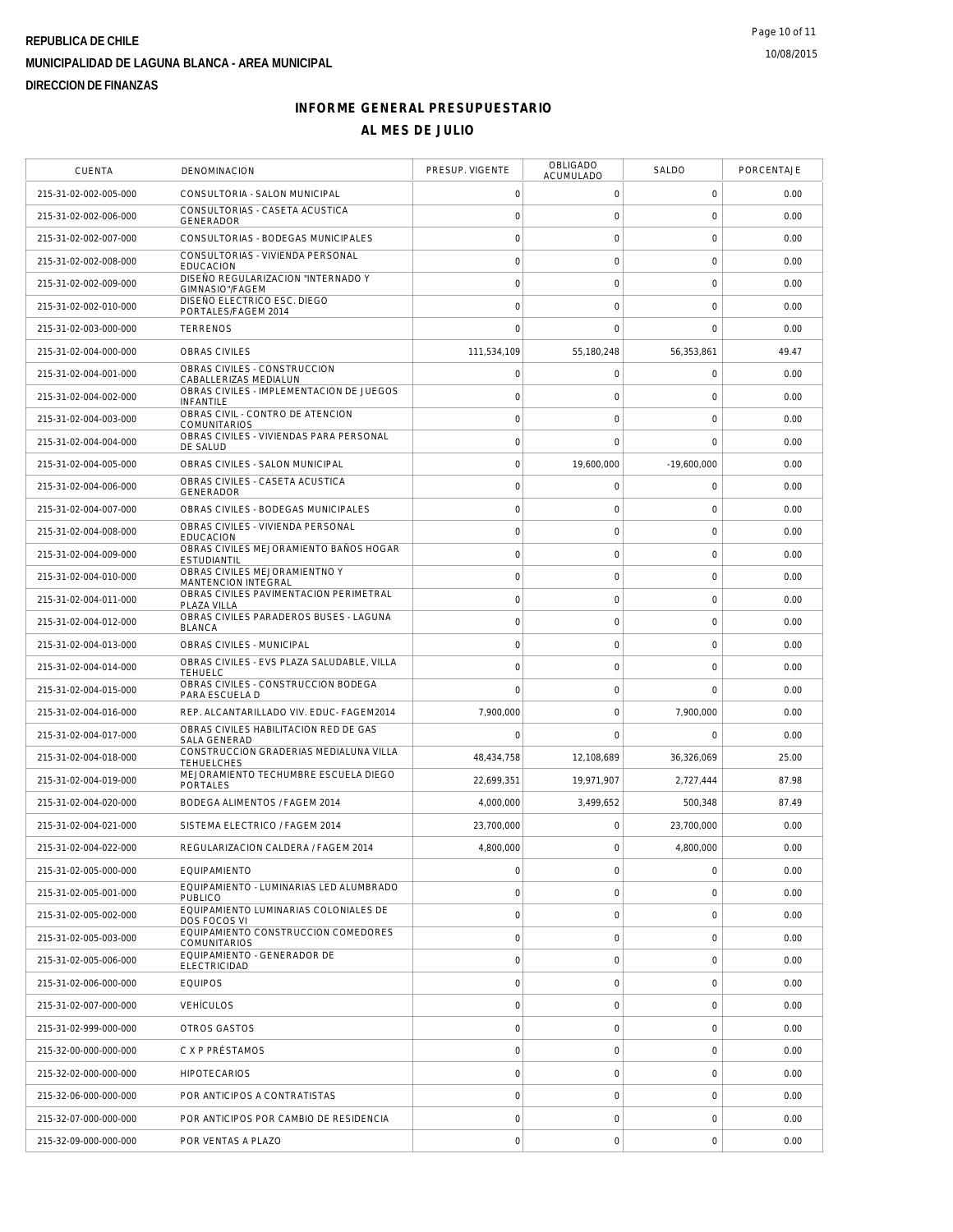| <b>CUENTA</b>         | <b>DENOMINACION</b>                                          | PRESUP. VIGENTE     | <b>OBLIGADO</b><br>ACUMULADO | SALDO               | PORCENTAJE |
|-----------------------|--------------------------------------------------------------|---------------------|------------------------------|---------------------|------------|
| 215-31-02-002-005-000 | CONSULTORIA - SALON MUNICIPAL                                | $\mathsf{O}\xspace$ | 0                            | $\mathsf{O}\xspace$ | 0.00       |
| 215-31-02-002-006-000 | CONSULTORIAS - CASETA ACUSTICA<br><b>GENERADOR</b>           | $\mathsf{O}\xspace$ | $\mathsf{O}\xspace$          | 0                   | 0.00       |
| 215-31-02-002-007-000 | CONSULTORIAS - BODEGAS MUNICIPALES                           | $\mathbf 0$         | 0                            | 0                   | 0.00       |
| 215-31-02-002-008-000 | CONSULTORIAS - VIVIENDA PERSONAL<br><b>EDUCACION</b>         | $\mathbf 0$         | 0                            | 0                   | 0.00       |
| 215-31-02-002-009-000 | DISEÑO REGULARIZACION "INTERNADO Y<br>GIMNASIO"/FAGEM        | $\mathbf 0$         | 0                            | 0                   | 0.00       |
| 215-31-02-002-010-000 | DISEÑO ELECTRICO ESC. DIEGO<br>PORTALES/FAGEM 2014           | $\mathsf{O}\xspace$ | $\mathbf 0$                  | 0                   | 0.00       |
| 215-31-02-003-000-000 | <b>TERRENOS</b>                                              | $\overline{0}$      | $\mathbf 0$                  | $\mathbf 0$         | 0.00       |
| 215-31-02-004-000-000 | <b>OBRAS CIVILES</b>                                         | 111,534,109         | 55,180,248                   | 56.353.861          | 49.47      |
| 215-31-02-004-001-000 | OBRAS CIVILES - CONSTRUCCION<br>CABALLERIZAS MEDIALUN        | $\mathsf{O}\xspace$ | 0                            | 0                   | 0.00       |
| 215-31-02-004-002-000 | OBRAS CIVILES - IMPLEMENTACION DE JUEGOS<br>INFANTILE        | $\mathbf 0$         | 0                            | 0                   | 0.00       |
| 215-31-02-004-003-000 | OBRAS CIVIL - CONTRO DE ATENCION<br><b>COMUNITARIOS</b>      | $\mathsf{O}\xspace$ | $\mathbf 0$                  | 0                   | 0.00       |
| 215-31-02-004-004-000 | OBRAS CIVILES - VIVIENDAS PARA PERSONAL<br>DE SALUD          | $\mathbf 0$         | $\mathbf 0$                  | $\overline{0}$      | 0.00       |
| 215-31-02-004-005-000 | OBRAS CIVILES - SALON MUNICIPAL                              | $\mathsf{O}\xspace$ | 19,600,000                   | $-19.600.000$       | 0.00       |
| 215-31-02-004-006-000 | OBRAS CIVILES - CASETA ACUSTICA<br>GENERADOR                 | $\mathbf 0$         | 0                            | 0                   | 0.00       |
| 215-31-02-004-007-000 | OBRAS CIVILES - BODEGAS MUNICIPALES                          | $\mathbf 0$         | 0                            | 0                   | 0.00       |
| 215-31-02-004-008-000 | OBRAS CIVILES - VIVIENDA PERSONAL<br><b>EDUCACION</b>        | $\mathsf{O}\xspace$ | 0                            | 0                   | 0.00       |
| 215-31-02-004-009-000 | OBRAS CIVILES MEJORAMIENTO BAÑOS HOGAR<br><b>ESTUDIANTIL</b> | $\mathbf 0$         | 0                            | 0                   | 0.00       |
| 215-31-02-004-010-000 | OBRAS CIVILES MEJORAMIENTNO Y<br><b>MANTENCION INTEGRAL</b>  | $\mathsf{O}\xspace$ | $\mathsf{O}\xspace$          | 0                   | 0.00       |
| 215-31-02-004-011-000 | OBRAS CIVILES PAVIMENTACION PERIMETRAL<br>PLAZA VILLA        | $\mathsf{O}\xspace$ | $\mathsf{O}\xspace$          | $\mathbf 0$         | 0.00       |
| 215-31-02-004-012-000 | OBRAS CIVILES PARADEROS BUSES - LAGUNA<br><b>BLANCA</b>      | $\mathbf 0$         | 0                            | 0                   | 0.00       |
| 215-31-02-004-013-000 | OBRAS CIVILES - MUNICIPAL                                    | $\mathbf 0$         | $\mathsf{O}\xspace$          | 0                   | 0.00       |
| 215-31-02-004-014-000 | OBRAS CIVILES - EVS PLAZA SALUDABLE, VILLA<br><b>TEHUELC</b> | $\mathbf 0$         | $\mathsf{O}\xspace$          | 0                   | 0.00       |
| 215-31-02-004-015-000 | OBRAS CIVILES - CONSTRUCCION BODEGA<br>PARA ESCUELA D        | $\mathbf 0$         | 0                            | $\mathbf 0$         | 0.00       |
| 215-31-02-004-016-000 | REP. ALCANTARILLADO VIV. EDUC- FAGEM2014                     | 7,900,000           | 0                            | 7,900,000           | 0.00       |
| 215-31-02-004-017-000 | OBRAS CIVILES HABILITACION RED DE GAS<br><b>SALA GENERAD</b> | $\mathbf 0$         | $\mathbf 0$                  | 0                   | 0.00       |
| 215-31-02-004-018-000 | CONSTRUCCION GRADERIAS MEDIALUNA VILLA<br><b>TEHUELCHES</b>  | 48,434,758          | 12,108,689                   | 36,326,069          | 25.00      |
| 215-31-02-004-019-000 | MEJORAMIENTO TECHUMBRE ESCUELA DIEGO<br>PORTALES             | 22,699,351          | 19,971,907                   | 2,727,444           | 87.98      |
| 215-31-02-004-020-000 | BODEGA ALIMENTOS / FAGEM 2014                                | 4,000,000           | 3,499,652                    | 500,348             | 87.49      |
| 215-31-02-004-021-000 | SISTEMA ELECTRICO / FAGEM 2014                               | 23,700,000          | 0                            | 23,700,000          | 0.00       |
| 215-31-02-004-022-000 | REGULARIZACION CALDERA / FAGEM 2014                          | 4,800,000           | $\mathbf 0$                  | 4,800,000           | 0.00       |
| 215-31-02-005-000-000 | EQUIPAMIENTO                                                 | $\mathsf{O}\xspace$ | 0                            | 0                   | 0.00       |
| 215-31-02-005-001-000 | EQUIPAMIENTO - LUMINARIAS LED ALUMBRADO<br><b>PUBLICO</b>    | $\mathsf{O}\xspace$ | $\mathbf 0$                  | 0                   | 0.00       |
| 215-31-02-005-002-000 | EQUIPAMIENTO LUMINARIAS COLONIALES DE<br>DOS FOCOS VI        | $\mathbf 0$         | $\mathsf{O}\xspace$          | 0                   | 0.00       |
| 215-31-02-005-003-000 | EQUIPAMIENTO CONSTRUCCION COMEDORES<br><b>COMUNITARIOS</b>   | $\mathbf 0$         | 0                            | 0                   | 0.00       |
| 215-31-02-005-006-000 | EQUIPAMIENTO - GENERADOR DE<br><b>ELECTRICIDAD</b>           | $\mathbf 0$         | $\mathbf 0$                  | $\mathbf 0$         | 0.00       |
| 215-31-02-006-000-000 | <b>EQUIPOS</b>                                               | $\mathbf 0$         | $\mathsf{O}\xspace$          | 0                   | 0.00       |
| 215-31-02-007-000-000 | <b>VEHÍCULOS</b>                                             | $\mathsf{O}\xspace$ | 0                            | 0                   | 0.00       |
| 215-31-02-999-000-000 | OTROS GASTOS                                                 | $\mathsf{O}\xspace$ | 0                            | 0                   | 0.00       |
| 215-32-00-000-000-000 | C X P PRÉSTAMOS                                              | $\mathbf 0$         | 0                            | 0                   | 0.00       |
| 215-32-02-000-000-000 | <b>HIPOTECARIOS</b>                                          | $\mathbf 0$         | 0                            | 0                   | 0.00       |
| 215-32-06-000-000-000 | POR ANTICIPOS A CONTRATISTAS                                 | $\mathbf 0$         | $\mathbf 0$                  | 0                   | 0.00       |
| 215-32-07-000-000-000 | POR ANTICIPOS POR CAMBIO DE RESIDENCIA                       | $\mathsf{O}\xspace$ | $\mathbf 0$                  | 0                   | 0.00       |
| 215-32-09-000-000-000 | POR VENTAS A PLAZO                                           | $\mathsf{O}\xspace$ | $\mathsf{O}\xspace$          | 0                   | 0.00       |